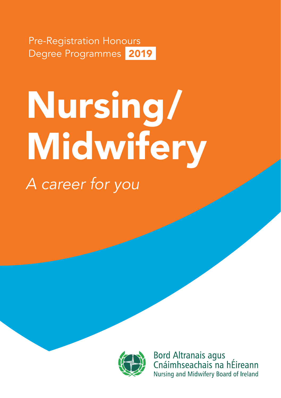Pre-Registration Honours Degree Programmes 2019

# *A career for you* Nursing/ Midwifery



**Bord Altranais agus** Cnáimhseachais na hÉireann Nursing and Midwifery Board of Ireland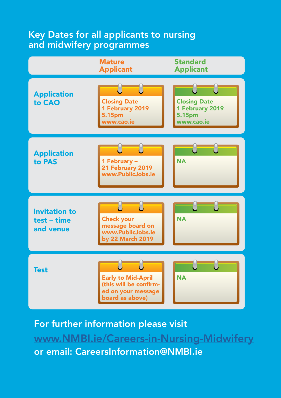# Key Dates for all applicants to nursing and midwifery programmes



For further information please visit [www.NMBI.ie/Careers-in-Nursing-Midwifery](http://www.NMBI.ie/Careers-in-Nursing-Midwifery) or email: CareersInformation@NMBI.ie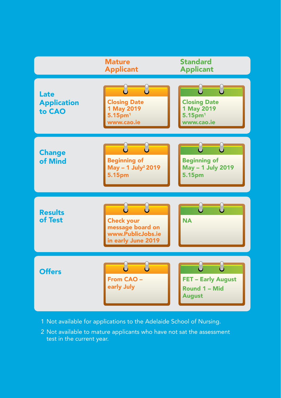

- 1 Not available for applications to the Adelaide School of Nursing.
- 2 Not available to mature applicants who have not sat the assessment test in the current year.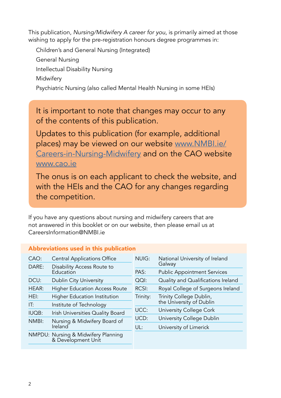This publication, *Nursing/Midwifery A career for you*, is primarily aimed at those wishing to apply for the pre-registration honours degree programmes in:

Children's and General Nursing (Integrated) General Nursing Intellectual Disability Nursing **Midwifery** Psychiatric Nursing (also called Mental Health Nursing in some HEIs)

It is important to note that changes may occur to any of the contents of this publication.

Updates to this publication (for example, additional places) may be viewed on our website [www.NMBI.ie/](http://www.NMBI.ie/Careers-in-Nursing-Midwifery) [Careers-in-Nursing-Midwifery](http://www.NMBI.ie/Careers-in-Nursing-Midwifery) and on the CAO website [www.cao.ie](http://www.cao.ie)

The onus is on each applicant to check the website, and with the HEIs and the CAO for any changes regarding the competition.

If you have any questions about nursing and midwifery careers that are not answered in this booklet or on our website, then please email us at CareersInformation@NMBI.ie

|       | Abbreviations used in this publication                    |          |                                                     |
|-------|-----------------------------------------------------------|----------|-----------------------------------------------------|
| CAO:  | <b>Central Applications Office</b>                        | NUIG:    | National University of Ireland                      |
| DARE: | Disability Access Route to                                |          | Galway                                              |
|       | Education                                                 | PAS:     | <b>Public Appointment Services</b>                  |
| DCU:  | <b>Dublin City University</b>                             | OOL:     | Quality and Qualifications Ireland                  |
| HEAR: | <b>Higher Education Access Route</b>                      | RCSI:    | Royal College of Surgeons Ireland                   |
| HEI:  | <b>Higher Education Institution</b>                       | Trinity: | Trinity College Dublin,<br>the University of Dublin |
| IT:   | Institute of Technology                                   |          |                                                     |
| IUOB: | Irish Universities Quality Board                          | UCC:     | University College Cork                             |
| NMBI: | Nursing & Midwifery Board of<br>Ireland                   | UCD:     | University College Dublin                           |
|       |                                                           | UL:      | University of Limerick                              |
|       | NMPDU: Nursing & Midwifery Planning<br>& Development Unit |          |                                                     |
|       |                                                           |          |                                                     |

# Abbreviations used in this publication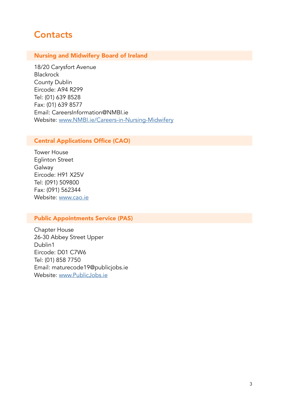# **Contacts**

#### Nursing and Midwifery Board of Ireland

18/20 Carysfort Avenue Blackrock County Dublin Eircode: A94 R299 Tel: (01) 639 8528 Fax: (01) 639 8577 Email: CareersInformation@NMBI.ie Website: [www.NMBI.ie/Careers-in-Nursing-Midwifery](http://www.NMBI.ie/Careers-in-Nursing-Midwifery)

## Central Applications Office (CAO)

Tower House Eglinton Street Galway Eircode: H91 X25V Tel: (091) 509800 Fax: (091) 562344 Website: [www.cao.ie](http://www.cao.ie)

#### Public Appointments Service (PAS)

Chapter House 26-30 Abbey Street Upper Dublin1 Eircode: D01 C7W6 Tel: (01) 858 7750 Email: maturecode19@publicjobs.ie Website: [www.PublicJobs.ie](http://www.PublicJobs.ie)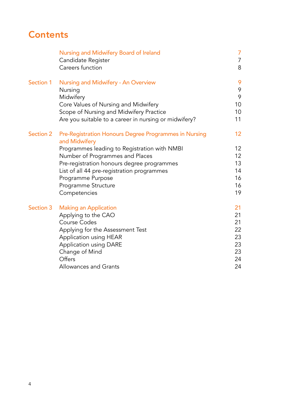# **Contents**

|           | Nursing and Midwifery Board of Ireland<br>Candidate Register<br>Careers function                    | 7<br>$\overline{7}$<br>8 |
|-----------|-----------------------------------------------------------------------------------------------------|--------------------------|
| Section 1 | Nursing and Midwifery - An Overview<br>Nursing<br>Midwifery<br>Core Values of Nursing and Midwifery | 9<br>9<br>9<br>10        |
|           | Scope of Nursing and Midwifery Practice<br>Are you suitable to a career in nursing or midwifery?    | 10<br>11                 |
| Section 2 | Pre-Registration Honours Degree Programmes in Nursing<br>and Midwifery                              | 12 <sup>2</sup>          |
|           | Programmes leading to Registration with NMBI                                                        | 12                       |
|           | Number of Programmes and Places                                                                     | 12                       |
|           | Pre-registration honours degree programmes                                                          | 13                       |
|           | List of all 44 pre-registration programmes                                                          | 14                       |
|           | Programme Purpose                                                                                   | 16                       |
|           | Programme Structure                                                                                 | 16                       |
|           | Competencies                                                                                        | 19                       |
| Section 3 | <b>Making an Application</b>                                                                        | 21                       |
|           | Applying to the CAO                                                                                 | 21                       |
|           | <b>Course Codes</b>                                                                                 | 21                       |
|           | Applying for the Assessment Test                                                                    | 22                       |
|           | Application using HEAR                                                                              | 23                       |
|           | Application using DARE                                                                              | 23<br>23                 |
|           | Change of Mind<br>Offers                                                                            | 24                       |
|           | Allowances and Grants                                                                               | 24                       |
|           |                                                                                                     |                          |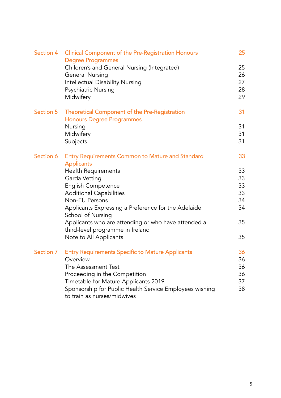| Section 4 | <b>Clinical Component of the Pre-Registration Honours</b><br><b>Degree Programmes</b>   | 25 |
|-----------|-----------------------------------------------------------------------------------------|----|
|           | Children's and General Nursing (Integrated)                                             | 25 |
|           | <b>General Nursing</b>                                                                  | 26 |
|           | Intellectual Disability Nursing                                                         | 27 |
|           | Psychiatric Nursing                                                                     | 28 |
|           | Midwifery                                                                               | 29 |
| Section 5 | Theoretical Component of the Pre-Registration                                           | 31 |
|           | <b>Honours Degree Programmes</b>                                                        |    |
|           | Nursing                                                                                 | 31 |
|           | Midwifery                                                                               | 31 |
|           | Subjects                                                                                | 31 |
| Section 6 | <b>Entry Requirements Common to Mature and Standard</b><br><b>Applicants</b>            | 33 |
|           | Health Requirements                                                                     | 33 |
|           | Garda Vetting                                                                           | 33 |
|           | English Competence                                                                      | 33 |
|           | <b>Additional Capabilities</b>                                                          | 33 |
|           | Non-EU Persons                                                                          | 34 |
|           | Applicants Expressing a Preference for the Adelaide                                     | 34 |
|           | School of Nursing                                                                       |    |
|           | Applicants who are attending or who have attended a<br>third-level programme in Ireland | 35 |
|           | Note to All Applicants                                                                  | 35 |
| Section 7 | <b>Entry Requirements Specific to Mature Applicants</b>                                 | 36 |
|           | Overview                                                                                | 36 |
|           | The Assessment Test                                                                     | 36 |
|           | Proceeding in the Competition                                                           | 36 |
|           | Timetable for Mature Applicants 2019                                                    | 37 |
|           | Sponsorship for Public Health Service Employees wishing                                 | 38 |
|           | to train as nurses/midwives                                                             |    |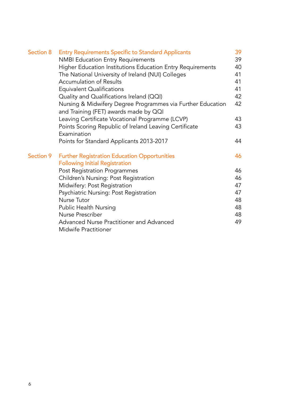| Section 8 | <b>Entry Requirements Specific to Standard Applicants</b>                                            | 39 |
|-----------|------------------------------------------------------------------------------------------------------|----|
|           | <b>NMBI Education Entry Requirements</b>                                                             | 39 |
|           | Higher Education Institutions Education Entry Requirements                                           | 40 |
|           | The National University of Ireland (NUI) Colleges                                                    | 41 |
|           | <b>Accumulation of Results</b>                                                                       | 41 |
|           | <b>Equivalent Qualifications</b>                                                                     | 41 |
|           | Quality and Qualifications Ireland (QQI)                                                             | 42 |
|           | Nursing & Midwifery Degree Programmes via Further Education<br>and Training (FET) awards made by QQI | 42 |
|           | Leaving Certificate Vocational Programme (LCVP)                                                      | 43 |
|           | Points Scoring Republic of Ireland Leaving Certificate<br>Examination                                | 43 |
|           | Points for Standard Applicants 2013-2017                                                             | 44 |
| Section 9 | <b>Further Registration Education Opportunities</b>                                                  | 46 |
|           | <b>Following Initial Registration</b>                                                                |    |
|           | Post Registration Programmes                                                                         | 46 |
|           | Children's Nursing: Post Registration                                                                | 46 |
|           | Midwifery: Post Registration                                                                         | 47 |
|           | Psychiatric Nursing: Post Registration                                                               | 47 |
|           | <b>Nurse Tutor</b>                                                                                   | 48 |
|           | Public Health Nursing                                                                                | 48 |
|           | Nurse Prescriber                                                                                     | 48 |
|           | Advanced Nurse Practitioner and Advanced                                                             | 49 |
|           | Midwife Practitioner                                                                                 |    |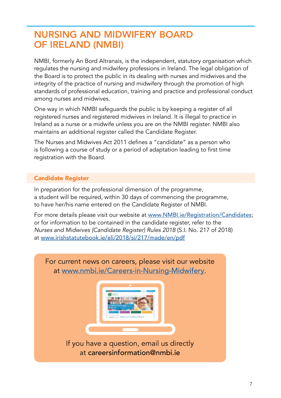# NURSING AND MIDWIFERY BOARD OF IRELAND (NMBI)

NMBI, formerly An Bord Altranais, is the independent, statutory organisation which regulates the nursing and midwifery professions in Ireland. The legal obligation of the Board is to protect the public in its dealing with nurses and midwives and the integrity of the practice of nursing and midwifery through the promotion of high standards of professional education, training and practice and professional conduct among nurses and midwives.

One way in which NMBI safeguards the public is by keeping a register of all registered nurses and registered midwives in Ireland. It is illegal to practice in Ireland as a nurse or a midwife unless you are on the NMBI register. NMBI also maintains an additional register called the Candidate Register.

The Nurses and Midwives Act 2011 defines a "candidate" as a person who is following a course of study or a period of adaptation leading to first time registration with the Board.

## Candidate Register

In preparation for the professional dimension of the programme, a student will be required, within 30 days of commencing the programme, to have her/his name entered on the Candidate Register of NMBI.

For more details please visit our website at [www.NMBI.ie/Registration/Candidates](http://www.NMBI.ie/Registration/Candidates); or for information to be contained in the candidate register, refer to the *Nurses and Midwives (Candidate Register) Rules 2018* (S.I. No. 217 of 2018) at [www.irishstatutebook.ie/eli/2018/si/217/made/en/pdf](http://www.irishstatutebook.ie/eli/2018/si/217/made/en/pdf)

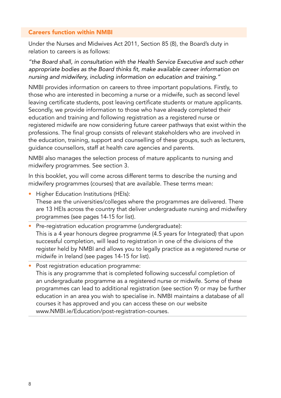#### Careers function within NMBI

Under the Nurses and Midwives Act 2011, Section 85 (8), the Board's duty in relation to careers is as follows:

*"the Board shall, in consultation with the Health Service Executive and such other*  appropriate bodies as the Board thinks fit, make available career information on nursing and midwifery, including information on education and training."

NMBI provides information on careers to three important populations. Firstly, to those who are interested in becoming a nurse or a midwife, such as second level leaving certificate students, post leaving certificate students or mature applicants. Secondly, we provide information to those who have already completed their education and training and following registration as a registered nurse or registered midwife are now considering future career pathways that exist within the professions. The final group consists of relevant stakeholders who are involved in the education, training, support and counselling of these groups, such as lecturers, guidance counsellors, staff at health care agencies and parents.

NMBI also manages the selection process of mature applicants to nursing and midwifery programmes. See section 3.

In this booklet, you will come across different terms to describe the nursing and midwifery programmes (courses) that are available. These terms mean:

- Higher Education Institutions (HEIs):
- These are the universities/colleges where the programmes are delivered. There are 13 HEIs across the country that deliver undergraduate nursing and midwifery programmes (see pages 14-15 for list).
- Pre-registration education programme (undergraduate): This is a 4 year honours degree programme (4.5 years for Integrated) that upon successful completion, will lead to registration in one of the divisions of the register held by NMBI and allows you to legally practice as a registered nurse or midwife in Ireland (see pages 14-15 for list).
- Post registration education programme: This is any programme that is completed following successful completion of an undergraduate programme as a registered nurse or midwife. Some of these programmes can lead to additional registration (see section 9) or may be further education in an area you wish to specialise in. NMBI maintains a database of all courses it has approved and you can access these on our website www.NMBI.ie/Education/post-registration-courses.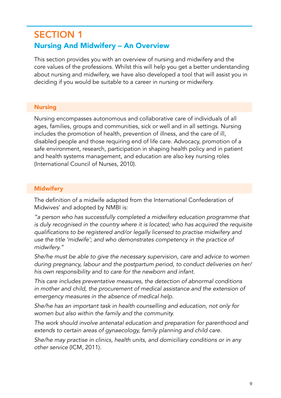# SECTION 1 Nursing And Midwifery – An Overview

This section provides you with an overview of nursing and midwifery and the core values of the professions. Whilst this will help you get a better understanding about nursing and midwifery, we have also developed a tool that will assist you in deciding if you would be suitable to a career in nursing or midwifery.

## **Nursing**

Nursing encompasses autonomous and collaborative care of individuals of all ages, families, groups and communities, sick or well and in all settings. Nursing includes the promotion of health, prevention of illness, and the care of ill, disabled people and those requiring end of life care. Advocacy, promotion of a safe environment, research, participation in shaping health policy and in patient and health systems management, and education are also key nursing roles (International Council of Nurses, 2010).

# **Midwifery**

The definition of a midwife adapted from the International Confederation of Midwives' and adopted by NMBI is:

*"a person who has successfully completed a midwifery education programme that is duly recognised in the country where it is located; who has acquired the requisite*  qualifications to be registered and/or legally licensed to practise midwifery and *use the title 'midwife'; and who demonstrates competency in the practice of midwifery."*

She/he must be able to give the necessary supervision, care and advice to women during pregnancy, labour and the postpartum period, to conduct deliveries on her/ his own responsibility and to care for the newborn and infant.

This care includes preventative measures, the detection of abnormal conditions in mother and child, the procurement of medical assistance and the extension of emergency measures in the absence of medical help.

She/he has an important task in health counselling and education, not only for women but also within the family and the community.

*The work should involve antenatal education and preparation for parenthood and*  extends to certain areas of gynaecology, family planning and child care.

She/he may practise in clinics, health units, and domiciliary conditions or in any *other service* (ICM, 2011)*.*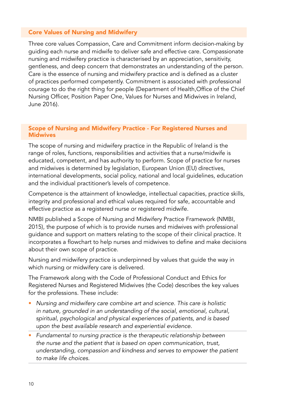#### Core Values of Nursing and Midwifery

Three core values Compassion, Care and Commitment inform decision-making by guiding each nurse and midwife to deliver safe and effective care. Compassionate nursing and midwifery practice is characterised by an appreciation, sensitivity, gentleness, and deep concern that demonstrates an understanding of the person. Care is the essence of nursing and midwifery practice and is defined as a cluster of practices performed competently. Commitment is associated with professional courage to do the right thing for people (Department of Health,Office of the Chief Nursing Officer, Position Paper One, Values for Nurses and Midwives in Ireland, June 2016).

#### Scope of Nursing and Midwifery Practice - For Registered Nurses and **Midwives**

The scope of nursing and midwifery practice in the Republic of Ireland is the range of roles, functions, responsibilities and activities that a nurse/midwife is educated, competent, and has authority to perform. Scope of practice for nurses and midwives is determined by legislation, European Union (EU) directives, international developments, social policy, national and local guidelines, education and the individual practitioner's levels of competence.

Competence is the attainment of knowledge, intellectual capacities, practice skills, integrity and professional and ethical values required for safe, accountable and effective practice as a registered nurse or registered midwife.

NMBI published a Scope of Nursing and Midwifery Practice Framework (NMBI, 2015), the purpose of which is to provide nurses and midwives with professional guidance and support on matters relating to the scope of their clinical practice. It incorporates a flowchart to help nurses and midwives to define and make decisions about their own scope of practice.

Nursing and midwifery practice is underpinned by values that guide the way in which nursing or midwifery care is delivered.

The Framework along with the Code of Professional Conduct and Ethics for Registered Nurses and Registered Midwives (the Code) describes the key values for the professions. These include:

- Nursing and midwifery care combine art and science. This care is holistic in nature, grounded in an understanding of the social, emotional, cultural, spiritual, psychological and physical experiences of patients, and is based upon the best available research and experiential evidence.
- Fundamental to nursing practice is the therapeutic relationship between the nurse and the patient that is based on open communication, trust, understanding, compassion and kindness and serves to empower the patient *to make life choices.*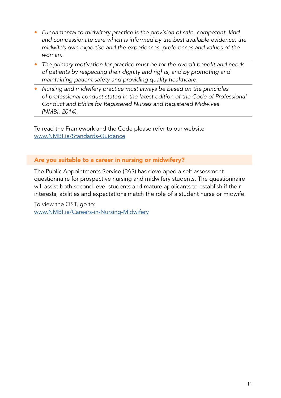- Fundamental to midwifery practice is the provision of safe, competent, kind and compassionate care which is informed by the best available evidence, the midwife's own expertise and the experiences, preferences and values of the *woman.*
- The primary motivation for practice must be for the overall benefit and needs of patients by respecting their dignity and rights, and by promoting and *maintaining patient safety and providing quality healthcare.*
- Nursing and midwifery practice must always be based on the principles *of professional conduct stated in the latest edition of the Code of Professional Conduct and Ethics for Registered Nurses and Registered Midwives*  (NMBI, 2014).

To read the Framework and the Code please refer to our website [www.NMBI.ie/Standards-Guidance](http://www.NMBI.ie/Standards-Guidance)

#### Are you suitable to a career in nursing or midwifery?

The Public Appointments Service (PAS) has developed a self-assessment questionnaire for prospective nursing and midwifery students. The questionnaire will assist both second level students and mature applicants to establish if their interests, abilities and expectations match the role of a student nurse or midwife.

To view the QST, go to: [www.NMBI.ie/Careers-in-Nursing-Midwifery](http://www.NMBI.ie/Careers-in-Nursing-Midwifery)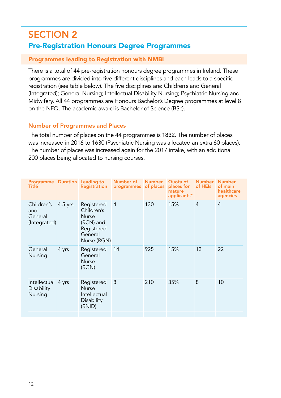# SECTION 2 Pre-Registration Honours Degree Programmes

#### Programmes leading to Registration with NMBI

There is a total of 44 pre-registration honours degree programmes in Ireland. These programmes are divided into five different disciplines and each leads to a specific registration (see table below). The five disciplines are: Children's and General (Integrated); General Nursing; Intellectual Disability Nursing; Psychiatric Nursing and Midwifery. All 44 programmes are Honours Bachelor's Degree programmes at level 8 on the NFQ. The academic award is Bachelor of Science (BSc).

#### Number of Programmes and Places

The total number of places on the 44 programmes is 1832. The number of places was increased in 2016 to 1630 (Psychiatric Nursing was allocated an extra 60 places). The number of places was increased again for the 2017 intake, with an additional 200 places being allocated to nursing courses.

| Programme Duration Leading to<br>Title       |           | Registration                                                                                  | Number of<br>programmes | <b>Number</b><br>of places | Quota of<br>places for<br>mature<br>applicants* | <b>Number</b><br>of HEIs | <b>Number</b><br>of main<br>healthcare<br>agencies |
|----------------------------------------------|-----------|-----------------------------------------------------------------------------------------------|-------------------------|----------------------------|-------------------------------------------------|--------------------------|----------------------------------------------------|
| Children's<br>and<br>General<br>(Integrated) | $4.5$ yrs | Registered<br>Children's<br><b>Nurse</b><br>(RCN) and<br>Registered<br>General<br>Nurse (RGN) | $\overline{4}$          | 130                        | 15%                                             | $\overline{4}$           | $\overline{4}$                                     |
| General<br>Nursing                           | 4 yrs     | Registered<br>General<br><b>Nurse</b><br>(RGN)                                                | 14                      | 925                        | 15%                                             | 13                       | 22                                                 |
| Intellectual 4 yrs<br>Disability<br>Nursing  |           | Registered<br><b>Nurse</b><br>Intellectual<br>Disability<br>(RNID)                            | 8                       | 210                        | 35%                                             | 8                        | 10                                                 |
|                                              |           |                                                                                               |                         |                            |                                                 |                          |                                                    |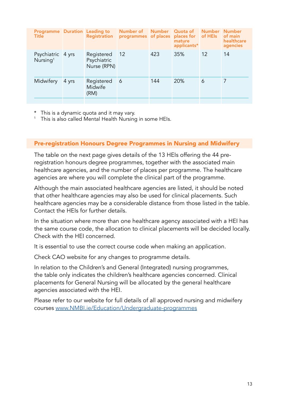| <b>Programme</b> Duration Leading to<br>Title |       | Registration                             | Number of<br>programmes of places places for of HEIs | <b>Number</b> | <b>Quota of</b><br>mature<br>applicants* |    | Number Number<br>of main<br>healthcare<br>agencies |
|-----------------------------------------------|-------|------------------------------------------|------------------------------------------------------|---------------|------------------------------------------|----|----------------------------------------------------|
| Psychiatric 4 yrs<br>Nursing <sup>1</sup>     |       | Registered<br>Psychiatric<br>Nurse (RPN) | 12                                                   | 423           | 35%                                      | 12 | 14                                                 |
| Midwifery                                     | 4 yrs | Registered<br>Midwife<br>(RM)            | 6                                                    | 144           | 20%                                      | 6  | 7                                                  |

\* This is a dynamic quota and it may vary. 1 This is also called Mental Health Nursing in some HEIs.

#### Pre-registration Honours Degree Programmes in Nursing and Midwifery

The table on the next page gives details of the 13 HEIs offering the 44 preregistration honours degree programmes, together with the associated main healthcare agencies, and the number of places per programme. The healthcare agencies are where you will complete the clinical part of the programme.

Although the main associated healthcare agencies are listed, it should be noted that other healthcare agencies may also be used for clinical placements. Such healthcare agencies may be a considerable distance from those listed in the table. Contact the HEIs for further details.

In the situation where more than one healthcare agency associated with a HEI has the same course code, the allocation to clinical placements will be decided locally. Check with the HEI concerned.

It is essential to use the correct course code when making an application.

Check CAO website for any changes to programme details.

In relation to the Children's and General (Integrated) nursing programmes, the table only indicates the children's healthcare agencies concerned. Clinical placements for General Nursing will be allocated by the general healthcare agencies associated with the HEI.

Please refer to our website for full details of all approved nursing and midwifery courses [www.NMBI.ie/Education/Undergraduate-programmes](http://www.NMBI.ie/Education/Undergraduate-programmes)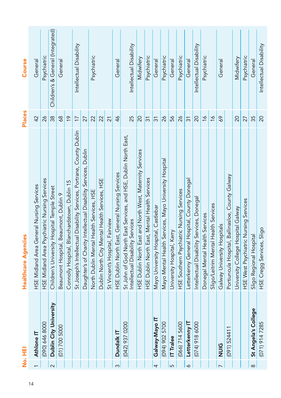|          | li<br>No. Hi           | <b>Healthcare Agencies</b>                                            | <b>Places</b>   | Course                            |
|----------|------------------------|-----------------------------------------------------------------------|-----------------|-----------------------------------|
|          | Athlone IT             | HSE Midland Area General Nursing Services                             | 42              | General                           |
|          | (090) 646 8000         | HSE Midland Area Psychiatric Nursing Services                         | 26              | Psychiatric                       |
| $\sim$   | Dublin City University | Children's University Hospital Temple Street                          | 38              | Children's & General (Integrated) |
|          | (01) 700 5000          | Beaumont Hospital, Beaumont, Dublin 9                                 | 68              | General                           |
|          |                        | Connolly Hospital, Blanchardstown, Dublin 15                          | $\frac{9}{2}$   |                                   |
|          |                        | St Joseph's Intellectual Disability Services, Portrane, County Dublin | $\overline{17}$ | Intellectual Disability           |
|          |                        | Daughter's of Charity Intellectual Disability Services, Dublin        | 27              |                                   |
|          |                        | North Dublin Mental Health Services, HSE                              | 22              | Psychiatric                       |
|          |                        | Dublin North City Mental Health Services, HSE                         | 22              |                                   |
|          |                        | St Vincent's Hospital, Fairview                                       | $\overline{21}$ |                                   |
| 3        | Dundalk IT             | HSE Dublin North East, General Nursing Services                       | 46              | General                           |
|          | (042) 937 0200         | St John of God North East Services, and HSE, Dublin North East,       |                 |                                   |
|          |                        | Intellectual Disability Services                                      | 25              | Intellectual Disability           |
|          |                        | HSE Dublin North East and North West, Maternity Services              | 20              | Midwifery                         |
|          |                        | HSE Dublin North East, Mental Health Services                         | $\overline{31}$ | Psychiatric                       |
| 4        | Galway-Mayo IT         | Mayo University Hospital, Castlebar                                   | $\overline{31}$ | General                           |
|          | (094) 902 5700         | Mayo Mental Health Services, Mayo University Hospital                 | 26              | Psychiatric                       |
| ഥ        | IT Tralee              | University Hospital, Kerry                                            | 56              | General                           |
|          | $(066)$ 714 5600       | HSE Southern Psychiatric Nursing Services                             | $\delta$        | Psychiatric                       |
| $\circ$  | Letterkenny IT         | etterkenny General Hospital, County Donegal                           | $\overline{31}$ | General                           |
|          | $(074)$ 918 6000       | Intellectual Disability Services, Donegal                             | 20              | Intellectual Disability           |
|          |                        | Donegal Mental Health Services                                        | $\frac{6}{1}$   | Psychiatric                       |
|          |                        | Sligo/Leitrim Mental Health Services                                  | $\frac{6}{1}$   |                                   |
|          | <b>UIU</b>             | Galway University Hospitals                                           | 69              | General                           |
|          | (091) 524411           | Portiuncula Hospital, Ballinasloe, County Galway                      |                 |                                   |
|          |                        | University College Hospital Galway                                    | $\overline{20}$ | Midwifery                         |
|          |                        | HSE West Psychiatric Nursing Services                                 | 27              | Psychiatric                       |
| $\infty$ | St Angela's College    | Sligo Regional Hospital                                               | 35              | General                           |
|          | $(071)$ 914 7285       | HSE Cregg Services, Sligo                                             | $\overline{20}$ | Intellectual Disability           |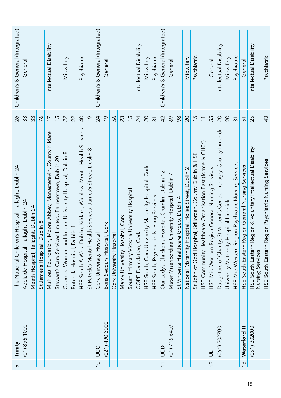| $\circ$        | Trinity          | The National Children's Hospital, Tallaght, Dublin 24                                   | 26                       | Children's & General (Integrated) |
|----------------|------------------|-----------------------------------------------------------------------------------------|--------------------------|-----------------------------------|
|                | (01) 896 1000    | Adelaide Hospital, Tallaght, Dublin 24                                                  | 33                       | Genera                            |
|                |                  | Meath Hospital, Tallaght, Dublin 24                                                     | 33                       |                                   |
|                |                  | St James's Hospital, Dublin 8                                                           | 76                       |                                   |
|                |                  | Muiriosa Foundation, Moore Abbey, Monasterevin, County Kildare                          | $\overline{17}$          | Intellectual Disability           |
|                |                  | Stewart's Care Services Limited, Palmerstown, Dublin 20                                 | 15                       |                                   |
|                |                  | Coombe Women and Infants University Hospital, Dublin 8                                  | 22                       | Midwifery                         |
|                |                  | Rotunda Hospital, Dublin 1                                                              | 22                       |                                   |
|                |                  | HSE South & West Dublin, Kildare, Wicklow, Mental Health Services                       | $\overline{Q}$           | Psychiatric                       |
|                |                  | St Patrick's Mental Health Services, James's Street, Dublin 8                           | $\frac{6}{1}$            |                                   |
| $\overline{C}$ | UCC              | Cork University Hospital                                                                | 24                       | Children's & General (Integrated) |
|                | $(021)$ 490 3000 | Bons Secours Hospital, Cork                                                             | $\frac{6}{1}$            | General                           |
|                |                  | Cork University Hospital                                                                | 56                       |                                   |
|                |                  | Mercy University Hospital, Cork                                                         | 23                       |                                   |
|                |                  | South Infirmary Victoria University Hospital                                            | $\frac{5}{2}$            |                                   |
|                |                  | COPE Foundation, Cork                                                                   | 24                       | Intellectual Disability           |
|                |                  | HSE South, Cork University Maternity Hospital, Cork                                     | 20                       | Midwifery                         |
|                |                  | HSE South, Psychiatric Nursing Services                                                 | $\overline{3}$           | Psychiatric                       |
| $\overline{1}$ | go               | Our Lady's Children's Hospital, Crumlin, Dublin 12                                      | 42                       | Children's & General (Integrated) |
|                | $(01)$ 716 6407  | Mater Misericordiae University Hospital, Dublin 7                                       | 69                       | General                           |
|                |                  | St Vincents Healthcare Group, Dublin 4                                                  | 98                       |                                   |
|                |                  | National Maternity Hospital, Holles Street, Dublin 2                                    | 20                       | Midwifery                         |
|                |                  | St John of God Hospital, Stillorgan, County Dublin & HSE                                | 15                       | Psychiatric                       |
|                |                  | HSE Community Healthcare Organisation East (formerly CH06)                              | $\overline{\phantom{0}}$ |                                   |
| $\frac{2}{3}$  | $\exists$        | HSE Mid-Western Region General Nursing Services                                         | 55                       | General                           |
|                | (061) 202700     | Daughters of Charity, St Vincent's Centre, Lisnagry, County Limerick                    | 20                       | Intellectual Disability           |
|                |                  | University Maternity Hospital Limerick                                                  | 20                       | Midwifery                         |
|                |                  | HSE Mid Western Region Psychiatric Nursing Services                                     | $\overline{31}$          | Psychiatric                       |
| $\frac{3}{2}$  | Waterford IT     | HSE South Eastern Region General Nursing Services                                       | 51                       | General                           |
|                | (051) 302000     | HSE South Eastern Region & Voluntary Intellectual Disability<br><b>Nursing Services</b> | 25                       | Intellectual Disability           |
|                |                  | HSE South Eastern Region Psychiatric Nursing Services                                   | 43                       | Psychiatric                       |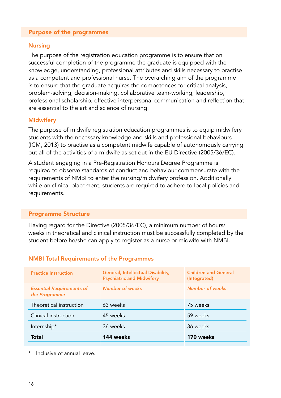#### Purpose of the programmes

#### Nursing

The purpose of the registration education programme is to ensure that on successful completion of the programme the graduate is equipped with the knowledge, understanding, professional attributes and skills necessary to practise as a competent and professional nurse. The overarching aim of the programme is to ensure that the graduate acquires the competences for critical analysis, problem-solving, decision-making, collaborative team-working, leadership, professional scholarship, effective interpersonal communication and reflection that are essential to the art and science of nursing.

#### **Midwifery**

The purpose of midwife registration education programmes is to equip midwifery students with the necessary knowledge and skills and professional behaviours (ICM, 2013) to practise as a competent midwife capable of autonomously carrying out all of the activities of a midwife as set out in the EU Directive (2005/36/EC).

A student engaging in a Pre-Registration Honours Degree Programme is required to observe standards of conduct and behaviour commensurate with the requirements of NMBI to enter the nursing/midwifery profession. Additionally while on clinical placement, students are required to adhere to local policies and requirements.

#### Programme Structure

Having regard for the Directive (2005/36/EC), a minimum number of hours/ weeks in theoretical and clinical instruction must be successfully completed by the student before he/she can apply to register as a nurse or midwife with NMBI.

#### NMBI Total Requirements of the Programmes

| <b>Practice Instruction</b>                       | General, Intellectual Disability,<br><b>Psychiatric and Midwifery</b> | <b>Children and General</b><br>(Integrated) |  |
|---------------------------------------------------|-----------------------------------------------------------------------|---------------------------------------------|--|
| <b>Essential Requirements of</b><br>the Programme | <b>Number of weeks</b>                                                | <b>Number of weeks</b>                      |  |
| Theoretical instruction                           | 63 weeks                                                              | 75 weeks                                    |  |
| Clinical instruction                              | 45 weeks                                                              | 59 weeks                                    |  |
| Internship*                                       | 36 weeks                                                              | 36 weeks                                    |  |
| <b>Total</b>                                      | 144 weeks                                                             | 170 weeks                                   |  |

Inclusive of annual leave.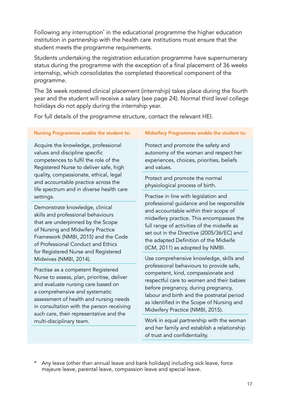Following any interruption\* in the educational programme the higher education institution in partnership with the health care institutions must ensure that the student meets the programme requirements.

Students undertaking the registration education programme have supernumerary status during the programme with the exception of a final placement of 36 weeks internship, which consolidates the completed theoretical component of the programme.

The 36 week rostered clinical placement (internship) takes place during the fourth year and the student will receive a salary (see page 24). Normal third level college holidays do not apply during the internship year.

For full details of the programme structure, contact the relevant HEI.

#### Nursing Programmes enable the student to:

Acquire the knowledge, professional values and discipline specific competences to fulfil the role of the Registered Nurse to deliver safe, high quality, compassionate, ethical, legal and accountable practice across the life spectrum and in diverse health care settings.

Demonstrate knowledge, clinical skills and professional behaviours that are underpinned by the Scope of Nursing and Midwifery Practice Framework (NMBI, 2015) and the Code of Professional Conduct and Ethics for Registered Nurse and Registered Midwives (NMBI, 2014).

Practise as a competent Registered Nurse to assess, plan, prioritise, deliver and evaluate nursing care based on a comprehensive and systematic assessment of health and nursing needs in consultation with the person receiving such care, their representative and the multi-disciplinary team.

#### Midwifery Programmes enable the student to:

Protect and promote the safety and autonomy of the woman and respect her experiences, choices, priorities, beliefs and values.

Protect and promote the normal physiological process of birth.

Practise in line with legislation and professional guidance and be responsible and accountable within their scope of midwifery practice. This encompasses the full range of activities of the midwife as set out in the Directive (2005/36/EC) and the adapted Definition of the Midwife (ICM, 2011) as adopted by NMBI.

Use comprehensive knowledge, skills and professional behaviours to provide safe, competent, kind, compassionate and respectful care to women and their babies before pregnancy, during pregnancy, labour and birth and the postnatal period as identified in the Scope of Nursing and Midwifery Practice (NMBI, 2015).

Work in equal partnership with the woman and her family and establish a relationship of trust and confidentiality.

\* Any leave (other than annual leave and bank holidays) including sick leave, force majeure leave, parental leave, compassion leave and special leave.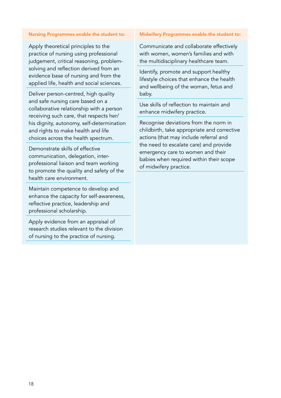#### Nursing Programmes enable the student to:

Apply theoretical principles to the practice of nursing using professional judgement, critical reasoning, problemsolving and reflection derived from an evidence base of nursing and from the applied life, health and social sciences.

Deliver person-centred, high quality and safe nursing care based on a collaborative relationship with a person receiving such care, that respects her/ his dignity, autonomy, self-determination and rights to make health and life choices across the health spectrum.

Demonstrate skills of effective communication, delegation, interprofessional liaison and team working to promote the quality and safety of the health care environment.

Maintain competence to develop and enhance the capacity for self-awareness, reflective practice, leadership and professional scholarship.

Apply evidence from an appraisal of research studies relevant to the division of nursing to the practice of nursing.

#### Midwifery Programmes enable the student to:

Communicate and collaborate effectively with women, women's families and with the multidisciplinary healthcare team.

Identify, promote and support healthy lifestyle choices that enhance the health and wellbeing of the woman, fetus and baby.

Use skills of reflection to maintain and enhance midwifery practice.

Recognise deviations from the norm in childbirth, take appropriate and corrective actions (that may include referral and the need to escalate care) and provide emergency care to women and their babies when required within their scope of midwifery practice.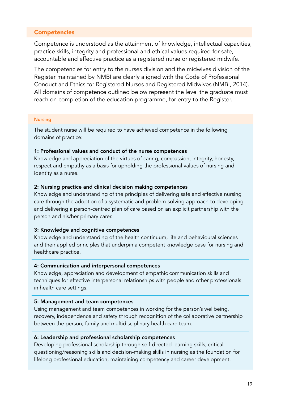#### Competencies

Competence is understood as the attainment of knowledge, intellectual capacities, practice skills, integrity and professional and ethical values required for safe, accountable and effective practice as a registered nurse or registered midwife.

The competencies for entry to the nurses division and the midwives division of the Register maintained by NMBI are clearly aligned with the Code of Professional Conduct and Ethics for Registered Nurses and Registered Midwives (NMBI, 2014). All domains of competence outlined below represent the level the graduate must reach on completion of the education programme, for entry to the Register.

#### Nursing

The student nurse will be required to have achieved competence in the following domains of practice:

#### 1: Professional values and conduct of the nurse competences

Knowledge and appreciation of the virtues of caring, compassion, integrity, honesty, respect and empathy as a basis for upholding the professional values of nursing and identity as a nurse.

#### 2: Nursing practice and clinical decision making competences

Knowledge and understanding of the principles of delivering safe and effective nursing care through the adoption of a systematic and problem-solving approach to developing and delivering a person-centred plan of care based on an explicit partnership with the person and his/her primary carer.

#### 3: Knowledge and cognitive competences

Knowledge and understanding of the health continuum, life and behavioural sciences and their applied principles that underpin a competent knowledge base for nursing and healthcare practice.

#### 4: Communication and interpersonal competences

Knowledge, appreciation and development of empathic communication skills and techniques for effective interpersonal relationships with people and other professionals in health care settings.

#### 5: Management and team competences

Using management and team competences in working for the person's wellbeing, recovery, independence and safety through recognition of the collaborative partnership between the person, family and multidisciplinary health care team.

#### 6: Leadership and professional scholarship competences

Developing professional scholarship through self-directed learning skills, critical questioning/reasoning skills and decision-making skills in nursing as the foundation for lifelong professional education, maintaining competency and career development.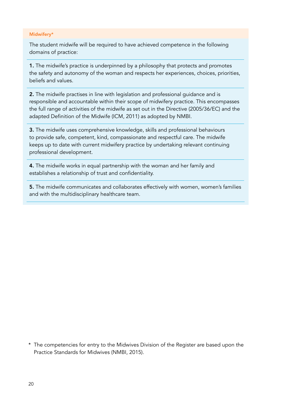#### Midwifery\*

The student midwife will be required to have achieved competence in the following domains of practice:

1. The midwife's practice is underpinned by a philosophy that protects and promotes the safety and autonomy of the woman and respects her experiences, choices, priorities, beliefs and values.

2. The midwife practises in line with legislation and professional guidance and is responsible and accountable within their scope of midwifery practice. This encompasses the full range of activities of the midwife as set out in the Directive (2005/36/EC) and the adapted Definition of the Midwife (ICM, 2011) as adopted by NMBI.

3. The midwife uses comprehensive knowledge, skills and professional behaviours to provide safe, competent, kind, compassionate and respectful care. The midwife keeps up to date with current midwifery practice by undertaking relevant continuing professional development.

4. The midwife works in equal partnership with the woman and her family and establishes a relationship of trust and confidentiality.

5. The midwife communicates and collaborates effectively with women, women's families and with the multidisciplinary healthcare team.

\* The competencies for entry to the Midwives Division of the Register are based upon the Practice Standards for Midwives (NMBI, 2015).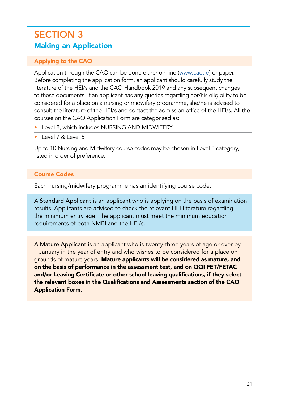# SECTION 3 Making an Application

## Applying to the CAO

Application through the CAO can be done either on-line ([www.cao.ie](http://www.cao.ie)) or paper. Before completing the application form, an applicant should carefully study the literature of the HEI/s and the CAO Handbook 2019 and any subsequent changes to these documents. If an applicant has any queries regarding her/his eligibility to be considered for a place on a nursing or midwifery programme, she/he is advised to consult the literature of the HEI/s and contact the admission office of the HEI/s. All the courses on the CAO Application Form are categorised as:

- Level 8, which includes NURSING AND MIDWIFERY
- Level 7 & Level 6

Up to 10 Nursing and Midwifery course codes may be chosen in Level 8 category, listed in order of preference.

## Course Codes

Each nursing/midwifery programme has an identifying course code.

A Standard Applicant is an applicant who is applying on the basis of examination results. Applicants are advised to check the relevant HEI literature regarding the minimum entry age. The applicant must meet the minimum education requirements of both NMBI and the HEI/s.

A Mature Applicant is an applicant who is twenty-three years of age or over by 1 January in the year of entry and who wishes to be considered for a place on grounds of mature years. Mature applicants will be considered as mature, and on the basis of performance in the assessment test, and on QQI FET/FETAC and/or Leaving Certificate or other school leaving qualifications, if they select the relevant boxes in the Qualifications and Assessments section of the CAO Application Form.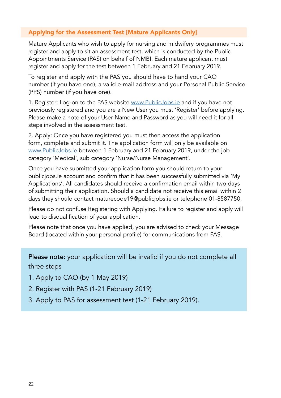## Applying for the Assessment Test [Mature Applicants Only]

Mature Applicants who wish to apply for nursing and midwifery programmes must register and apply to sit an assessment test, which is conducted by the Public Appointments Service (PAS) on behalf of NMBI. Each mature applicant must register and apply for the test between 1 February and 21 February 2019.

To register and apply with the PAS you should have to hand your CAO number (if you have one), a valid e-mail address and your Personal Public Service (PPS) number (if you have one).

1. Register: Log-on to the PAS website [www.PublicJobs.ie](http://www.PublicJobs.ie) and if you have not previously registered and you are a New User you must 'Register' before applying. Please make a note of your User Name and Password as you will need it for all steps involved in the assessment test.

2. Apply: Once you have registered you must then access the application form, complete and submit it. The application form will only be available on [www.PublicJobs.ie](http://www.PublicJobs.ie) between 1 February and 21 February 2019, under the job category 'Medical', sub category 'Nurse/Nurse Management'.

Once you have submitted your application form you should return to your publicjobs.ie account and confirm that it has been successfully submitted via 'My Applications'. All candidates should receive a confirmation email within two days of submitting their application. Should a candidate not receive this email within 2 days they should contact maturecode19@publicjobs.ie or telephone 01-8587750.

Please do not confuse Registering with Applying. Failure to register and apply will lead to disqualification of your application.

Please note that once you have applied, you are advised to check your Message Board (located within your personal profile) for communications from PAS.

Please note: your application will be invalid if you do not complete all three steps

- 1. Apply to CAO (by 1 May 2019)
- 2. Register with PAS (1-21 February 2019)
- 3. Apply to PAS for assessment test (1-21 February 2019).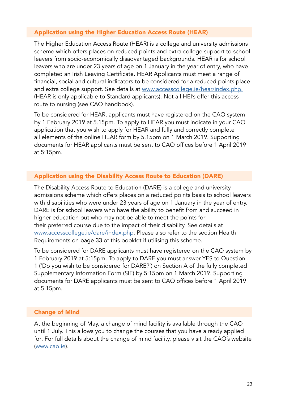#### Application using the Higher Education Access Route (HEAR)

The Higher Education Access Route (HEAR) is a college and university admissions scheme which offers places on reduced points and extra college support to school leavers from socio-economically disadvantaged backgrounds. HEAR is for school leavers who are under 23 years of age on 1 January in the year of entry, who have completed an Irish Leaving Certificate. HEAR Applicants must meet a range of financial, social and cultural indicators to be considered for a reduced points place and extra college support. See details at [www.accesscollege.ie/hear/index.php.](http://www.accesscollege.ie/hear/index.php.) (HEAR is only applicable to Standard applicants). Not all HEI's offer this access route to nursing (see CAO handbook).

To be considered for HEAR, applicants must have registered on the CAO system by 1 February 2019 at 5.15pm. To apply to HEAR you must indicate in your CAO application that you wish to apply for HEAR and fully and correctly complete all elements of the online HEAR form by 5.15pm on 1 March 2019. Supporting documents for HEAR applicants must be sent to CAO offices before 1 April 2019 at 5:15pm.

#### Application using the Disability Access Route to Education (DARE)

The Disability Access Route to Education (DARE) is a college and university admissions scheme which offers places on a reduced points basis to school leavers with disabilities who were under 23 years of age on 1 January in the year of entry. DARE is for school leavers who have the ability to benefit from and succeed in higher education but who may not be able to meet the points for their preferred course due to the impact of their disability. See details at [www.accesscollege.ie/dare/index.php.](http://www.accesscollege.ie/dare/index.php) Please also refer to the section Health Requirements on page 33 of this booklet if utilising this scheme.

To be considered for DARE applicants must have registered on the CAO system by 1 February 2019 at 5:15pm. To apply to DARE you must answer YES to Question 1 ('Do you wish to be considered for DARE?') on Section A of the fully completed Supplementary Information Form (SIF) by 5:15pm on 1 March 2019. Supporting documents for DARE applicants must be sent to CAO offices before 1 April 2019 at 5.15pm.

#### Change of Mind

At the beginning of May, a change of mind facility is available through the CAO until 1 July. This allows you to change the courses that you have already applied for. For full details about the change of mind facility, please visit the CAO's website [\(www.cao.ie\)](http://www.cao.ie).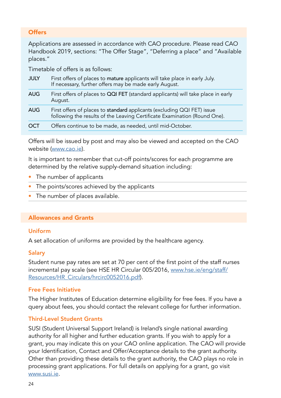# **Offers**

Applications are assessed in accordance with CAO procedure. Please read CAO Handbook 2019, sections: "The Offer Stage", "Deferring a place" and "Available places."

Timetable of offers is as follows:

| <b>JULY</b> | First offers of places to mature applicants will take place in early July.<br>If necessary, further offers may be made early August.                 |
|-------------|------------------------------------------------------------------------------------------------------------------------------------------------------|
| <b>AUG</b>  | First offers of places to QQI FET (standard applicants) will take place in early<br>August.                                                          |
| <b>AUG</b>  | First offers of places to standard applicants (excluding QQI FET) issue<br>following the results of the Leaving Certificate Examination (Round One). |
| OCT         | Offers continue to be made, as needed, until mid-October.                                                                                            |

Offers will be issued by post and may also be viewed and accepted on the CAO website [\(www.cao.ie\)](http://www.cao.ie).

It is important to remember that cut-off points/scores for each programme are determined by the relative supply-demand situation including:

- The number of applicants
- The points/scores achieved by the applicants
- The number of places available.

#### Allowances and Grants

#### Uniform

A set allocation of uniforms are provided by the healthcare agency.

#### **Salary**

Student nurse pay rates are set at 70 per cent of the first point of the staff nurses incremental pay scale (see HSE HR Circular 005/2016, [www.hse.ie/eng/staff/](http://www.hse.ie/eng/staff/Resources/HR_Circulars/hrcirc0052016.pdf) [Resources/HR\\_Circulars/hrcirc0052016.pdf](http://www.hse.ie/eng/staff/Resources/HR_Circulars/hrcirc0052016.pdf)).

#### Free Fees Initiative

The Higher Institutes of Education determine eligibility for free fees. If you have a query about fees, you should contact the relevant college for further information.

## Third-Level Student Grants

SUSI (Student Universal Support Ireland) is Ireland's single national awarding authority for all higher and further education grants. If you wish to apply for a grant, you may indicate this on your CAO online application. The CAO will provide your Identification, Contact and Offer/Acceptance details to the grant authority. Other than providing these details to the grant authority, the CAO plays no role in processing grant applications. For full details on applying for a grant, go visit [www.susi.ie](http://www.susi.ie).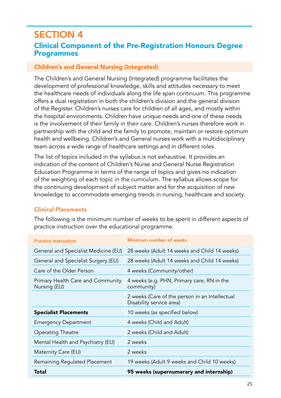# SECTION 4 Clinical Component of the Pre-Registration Honours Degree Programmes

#### Children's and General Nursing (Integrated)

The Children's and General Nursing (Integrated) programme facilitates the development of professional knowledge, skills and attitudes necessary to meet the healthcare needs of individuals along the life span continuum. This programme offers a dual registration in both the children's division and the general division of the Register. Children's nurses care for children of all ages, and mostly within the hospital environments. Children have unique needs and one of these needs is the involvement of their family in their care. Children's nurses therefore work in partnership with the child and the family to promote, maintain or restore optimum health and wellbeing. Children's and General nurses work with a multidisciplinary team across a wide range of healthcare settings and in different roles.

The list of topics included in the syllabus is not exhaustive. It provides an indication of the content of Children's Nurse and General Nurse Registration Education Programme in terms of the range of topics and gives no indication of the weighting of each topic in the curriculum. The syllabus allows scope for the continuing development of subject matter and for the acquisition of new knowledge to accommodate emerging trends in nursing, healthcare and society.

## Clinical Placements

| <b>Practice Instruction</b>                       | Minimum number of weeks                                                    |
|---------------------------------------------------|----------------------------------------------------------------------------|
| General and Specialist Medicine (EU)              | 28 weeks (Adult 14 weeks and Child 14 weeks)                               |
| General and Specialist Surgery (EU)               | 28 weeks (Adult 14 weeks and Child 14 weeks)                               |
| Care of the Older Person                          | 4 weeks (Community/other)                                                  |
| Primary Health Care and Community<br>Nursing (EU) | 4 weeks (e.g. PHN, Primary care, RN in the<br>community)                   |
|                                                   | 2 weeks (Care of the person in an Intellectual<br>Disability service area) |
| <b>Specialist Placements</b>                      | 10 weeks (as specified below)                                              |
| <b>Emergency Department</b>                       | 4 weeks (Child and Adult)                                                  |
| Operating Theatre                                 | 2 weeks (Child and Adult)                                                  |
| Mental Health and Psychiatry (EU)                 | 2 weeks                                                                    |
| Maternity Care (EU)                               | 2 weeks                                                                    |
| Remaining Regulated Placement                     | 19 weeks (Adult 9 weeks and Child 10 weeks)                                |
| Total                                             | 95 weeks (supernumerary and internship)                                    |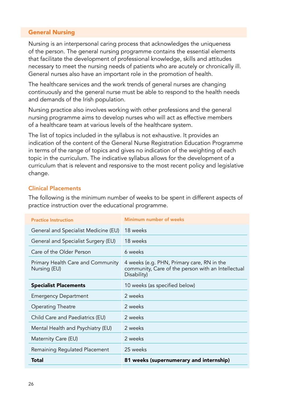#### General Nursing

Nursing is an interpersonal caring process that acknowledges the uniqueness of the person. The general nursing programme contains the essential elements that facilitate the development of professional knowledge, skills and attitudes necessary to meet the nursing needs of patients who are acutely or chronically ill. General nurses also have an important role in the promotion of health.

The healthcare services and the work trends of general nurses are changing continuously and the general nurse must be able to respond to the health needs and demands of the Irish population.

Nursing practice also involves working with other professions and the general nursing programme aims to develop nurses who will act as effective members of a healthcare team at various levels of the healthcare system.

The list of topics included in the syllabus is not exhaustive. It provides an indication of the content of the General Nurse Registration Education Programme in terms of the range of topics and gives no indication of the weighting of each topic in the curriculum. The indicative syllabus allows for the development of a curriculum that is relevent and responsive to the most recent policy and legislative change.

#### Clinical Placements

| <b>Practice Instruction</b>                       | Minimum number of weeks                                                                                         |
|---------------------------------------------------|-----------------------------------------------------------------------------------------------------------------|
| General and Specialist Medicine (EU)              | 18 weeks                                                                                                        |
| General and Specialist Surgery (EU)               | 18 weeks                                                                                                        |
| Care of the Older Person                          | 6 weeks                                                                                                         |
| Primary Health Care and Community<br>Nursing (EU) | 4 weeks (e.g. PHN, Primary care, RN in the<br>community, Care of the person with an Intellectual<br>Disability) |
| <b>Specialist Placements</b>                      | 10 weeks (as specified below)                                                                                   |
| <b>Emergency Department</b>                       | 2 weeks                                                                                                         |
| <b>Operating Theatre</b>                          | 2 weeks                                                                                                         |
| Child Care and Paediatrics (EU)                   | 2 weeks                                                                                                         |
| Mental Health and Psychiatry (EU)                 | 2 weeks                                                                                                         |
| Maternity Care (EU)                               | 2 weeks                                                                                                         |
| Remaining Regulated Placement                     | 25 weeks                                                                                                        |
| Total                                             | 81 weeks (supernumerary and internship)                                                                         |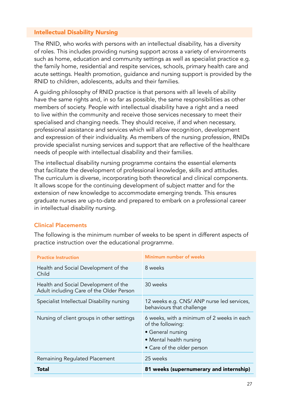#### Intellectual Disability Nursing

The RNID, who works with persons with an intellectual disability, has a diversity of roles. This includes providing nursing support across a variety of environments such as home, education and community settings as well as specialist practice e.g. the family home, residential and respite services, schools, primary health care and acute settings. Health promotion, guidance and nursing support is provided by the RNID to children, adolescents, adults and their families.

A guiding philosophy of RNID practice is that persons with all levels of ability have the same rights and, in so far as possible, the same responsibilities as other members of society. People with intellectual disability have a right and a need to live within the community and receive those services necessary to meet their specialised and changing needs. They should receive, if and when necessary, professional assistance and services which will allow recognition, development and expression of their individuality. As members of the nursing profession, RNIDs provide specialist nursing services and support that are reflective of the healthcare needs of people with intellectual disability and their families.

The intellectual disability nursing programme contains the essential elements that facilitate the development of professional knowledge, skills and attitudes. The curriculum is diverse, incorporating both theoretical and clinical components. It allows scope for the continuing development of subject matter and for the extension of new knowledge to accommodate emerging trends. This ensures graduate nurses are up-to-date and prepared to embark on a professional career in intellectual disability nursing.

## Clinical Placements

| <b>Practice Instruction</b>                                                      | Minimum number of weeks                                                                                                                       |
|----------------------------------------------------------------------------------|-----------------------------------------------------------------------------------------------------------------------------------------------|
| Health and Social Development of the<br>Child                                    | 8 weeks                                                                                                                                       |
| Health and Social Development of the<br>Adult including Care of the Older Person | 30 weeks                                                                                                                                      |
| Specialist Intellectual Disability nursing                                       | 12 weeks e.g. CNS/ ANP nurse led services,<br>behaviours that challenge                                                                       |
| Nursing of client groups in other settings                                       | 6 weeks, with a minimum of 2 weeks in each<br>of the following:<br>• General nursing<br>• Mental health nursing<br>• Care of the older person |
| Remaining Regulated Placement                                                    | 25 weeks                                                                                                                                      |
| Total                                                                            | 81 weeks (supernumerary and internship)                                                                                                       |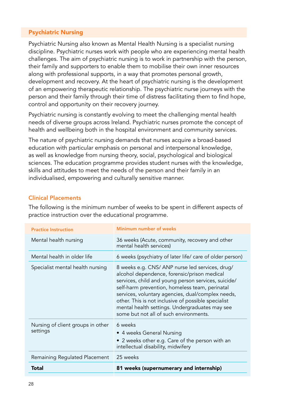#### Psychiatric Nursing

Psychiatric Nursing also known as Mental Health Nursing is a specialist nursing discipline. Psychiatric nurses work with people who are experiencing mental health challenges. The aim of psychiatric nursing is to work in partnership with the person, their family and supporters to enable them to mobilise their own inner resources along with professional supports, in a way that promotes personal growth, development and recovery. At the heart of psychiatric nursing is the development of an empowering therapeutic relationship. The psychiatric nurse journeys with the person and their family through their time of distress facilitating them to find hope, control and opportunity on their recovery journey.

Psychiatric nursing is constantly evolving to meet the challenging mental health needs of diverse groups across Ireland. Psychiatric nurses promote the concept of health and wellbeing both in the hospital environment and community services.

The nature of psychiatric nursing demands that nurses acquire a broad-based education with particular emphasis on personal and interpersonal knowledge, as well as knowledge from nursing theory, social, psychological and biological sciences. The education programme provides student nurses with the knowledge, skills and attitudes to meet the needs of the person and their family in an individualised, empowering and culturally sensitive manner.

#### Clinical Placements

| <b>Practice Instruction</b>                   | Minimum number of weeks                                                                                                                                                                                                                                                                                                                                                                                        |
|-----------------------------------------------|----------------------------------------------------------------------------------------------------------------------------------------------------------------------------------------------------------------------------------------------------------------------------------------------------------------------------------------------------------------------------------------------------------------|
| Mental health nursing                         | 36 weeks (Acute, community, recovery and other<br>mental health services)                                                                                                                                                                                                                                                                                                                                      |
| Mental health in older life                   | 6 weeks (psychiatry of later life/ care of older person)                                                                                                                                                                                                                                                                                                                                                       |
| Specialist mental health nursing              | 8 weeks e.g. CNS/ANP nurse led services, drug/<br>alcohol dependence, forensic/prison medical<br>services, child and young person services, suicide/<br>self-harm prevention, homeless team, perinatal<br>services, voluntary agencies, dual/complex needs,<br>other. This is not inclusive of possible specialist<br>mental health settings. Undergraduates may see<br>some but not all of such environments. |
| Nursing of client groups in other<br>settings | 6 weeks<br>• 4 weeks General Nursing<br>• 2 weeks other e.g. Care of the person with an<br>intellectual disability, midwifery                                                                                                                                                                                                                                                                                  |
| Remaining Regulated Placement                 | 25 weeks                                                                                                                                                                                                                                                                                                                                                                                                       |
| Total                                         | 81 weeks (supernumerary and internship)                                                                                                                                                                                                                                                                                                                                                                        |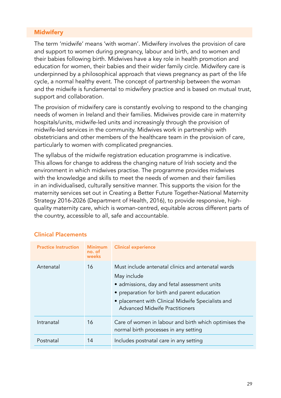## **Midwifery**

The term 'midwife' means 'with woman'. Midwifery involves the provision of care and support to women during pregnancy, labour and birth, and to women and their babies following birth. Midwives have a key role in health promotion and education for women, their babies and their wider family circle. Midwifery care is underpinned by a philosophical approach that views pregnancy as part of the life cycle, a normal healthy event. The concept of partnership between the woman and the midwife is fundamental to midwifery practice and is based on mutual trust, support and collaboration.

The provision of midwifery care is constantly evolving to respond to the changing needs of women in Ireland and their families. Midwives provide care in maternity hospitals/units, midwife-led units and increasingly through the provision of midwife-led services in the community. Midwives work in partnership with obstetricians and other members of the healthcare team in the provision of care, particularly to women with complicated pregnancies.

The syllabus of the midwife registration education programme is indicative. This allows for change to address the changing nature of Irish society and the environment in which midwives practise. The programme provides midwives with the knowledge and skills to meet the needs of women and their families in an individualised, culturally sensitive manner. This supports the vision for the maternity services set out in Creating a Better Future Together-National Maternity Strategy 2016-2026 (Department of Health, 2016), to provide responsive, highquality maternity care, which is woman-centred, equitable across different parts of the country, accessible to all, safe and accountable.

#### Clinical Placements

| <b>Practice Instruction</b> | <b>Minimum</b><br>no. of<br>weeks | <b>Clinical experience</b>                                                                                                                                                                                                                               |
|-----------------------------|-----------------------------------|----------------------------------------------------------------------------------------------------------------------------------------------------------------------------------------------------------------------------------------------------------|
| Antenatal                   | 16                                | Must include antenatal clinics and antenatal wards<br>May include<br>• admissions, day and fetal assessment units<br>• preparation for birth and parent education<br>• placement with Clinical Midwife Specialists and<br>Advanced Midwife Practitioners |
| Intranatal                  | 16                                | Care of women in labour and birth which optimises the<br>normal birth processes in any setting                                                                                                                                                           |
| Postnatal                   | 14                                | Includes postnatal care in any setting                                                                                                                                                                                                                   |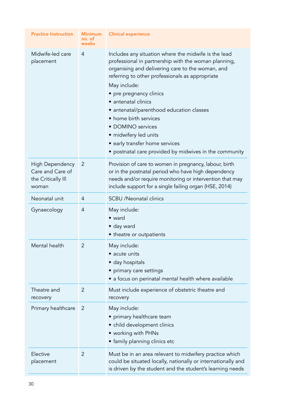| <b>Practice Instruction</b>                                        | <b>Minimum</b><br>no. of<br>weeks | <b>Clinical experience</b>                                                                                                                                                                                                                                                                                                                                                                                                                                                                           |
|--------------------------------------------------------------------|-----------------------------------|------------------------------------------------------------------------------------------------------------------------------------------------------------------------------------------------------------------------------------------------------------------------------------------------------------------------------------------------------------------------------------------------------------------------------------------------------------------------------------------------------|
| Midwife-led care<br>placement                                      | 4                                 | Includes any situation where the midwife is the lead<br>professional in partnership with the woman planning,<br>organising and delivering care to the woman, and<br>referring to other professionals as appropriate<br>May include:<br>• pre pregnancy clinics<br>• antenatal clinics<br>• antenatal/parenthood education classes<br>• home birth services<br>• DOMINO services<br>• midwifery led units<br>• early transfer home services<br>• postnatal care provided by midwives in the community |
| High Dependency<br>Care and Care of<br>the Critically III<br>woman | 2                                 | Provision of care to women in pregnancy, labour, birth<br>or in the postnatal period who have high dependency<br>needs and/or require monitoring or intervention that may<br>include support for a single failing organ (HSE, 2014)                                                                                                                                                                                                                                                                  |
| Neonatal unit                                                      | 4                                 | <b>SCBU</b> /Neonatal clinics                                                                                                                                                                                                                                                                                                                                                                                                                                                                        |
| Gynaecology                                                        | $\overline{4}$                    | May include:<br>• ward<br>• day ward<br>• theatre or outpatients                                                                                                                                                                                                                                                                                                                                                                                                                                     |
| Mental health                                                      | $\overline{2}$                    | May include:<br>• acute units<br>• day hospitals<br>• primary care settings<br>• a focus on perinatal mental health where available                                                                                                                                                                                                                                                                                                                                                                  |
| Theatre and<br>recovery                                            | $\overline{2}$                    | Must include experience of obstetric theatre and<br>recovery                                                                                                                                                                                                                                                                                                                                                                                                                                         |
| Primary healthcare                                                 | 2                                 | May include:<br>• primary healthcare team<br>• child development clinics<br>• working with PHNs<br>• family planning clinics etc                                                                                                                                                                                                                                                                                                                                                                     |
| Elective<br>placement                                              | $\overline{2}$                    | Must be in an area relevant to midwifery practice which<br>could be situated locally, nationally or internationally and<br>is driven by the student and the student's learning needs                                                                                                                                                                                                                                                                                                                 |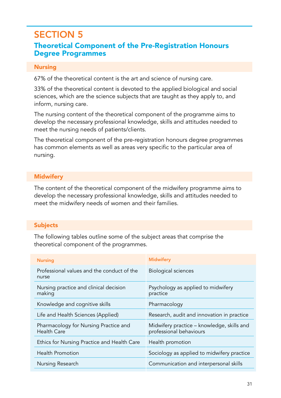# SECTION 5

# Theoretical Component of the Pre-Registration Honours Degree Programmes

#### Nursing

67% of the theoretical content is the art and science of nursing care.

33% of the theoretical content is devoted to the applied biological and social sciences, which are the science subjects that are taught as they apply to, and inform, nursing care.

The nursing content of the theoretical component of the programme aims to develop the necessary professional knowledge, skills and attitudes needed to meet the nursing needs of patients/clients.

The theoretical component of the pre-registration honours degree programmes has common elements as well as areas very specific to the particular area of nursing.

#### **Midwifery**

The content of the theoretical component of the midwifery programme aims to develop the necessary professional knowledge, skills and attitudes needed to meet the midwifery needs of women and their families.

## Subjects

The following tables outline some of the subject areas that comprise the theoretical component of the programmes.

| <b>Nursing</b>                                       | <b>Midwifery</b>                                                      |
|------------------------------------------------------|-----------------------------------------------------------------------|
| Professional values and the conduct of the<br>nurse  | Biological sciences                                                   |
| Nursing practice and clinical decision<br>making     | Psychology as applied to midwifery<br>practice                        |
| Knowledge and cognitive skills                       | Pharmacology                                                          |
| Life and Health Sciences (Applied)                   | Research, audit and innovation in practice                            |
| Pharmacology for Nursing Practice and<br>Health Care | Midwifery practice – knowledge, skills and<br>professional behaviours |
| Ethics for Nursing Practice and Health Care          | Health promotion                                                      |
| <b>Health Promotion</b>                              | Sociology as applied to midwifery practice                            |
| Nursing Research                                     | Communication and interpersonal skills                                |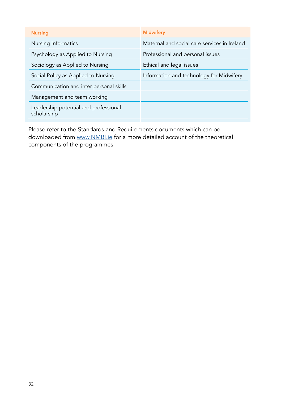| <b>Nursing</b>                                       | <b>Midwifery</b>                             |
|------------------------------------------------------|----------------------------------------------|
| Nursing Informatics                                  | Maternal and social care services in Ireland |
| Psychology as Applied to Nursing                     | Professional and personal issues             |
| Sociology as Applied to Nursing                      | Ethical and legal issues                     |
| Social Policy as Applied to Nursing                  | Information and technology for Midwifery     |
| Communication and inter personal skills              |                                              |
| Management and team working                          |                                              |
| Leadership potential and professional<br>scholarship |                                              |
|                                                      |                                              |

Please refer to the Standards and Requirements documents which can be downloaded from [www.NMBI.ie](http://www.NMBI.ie) for a more detailed account of the theoretical components of the programmes.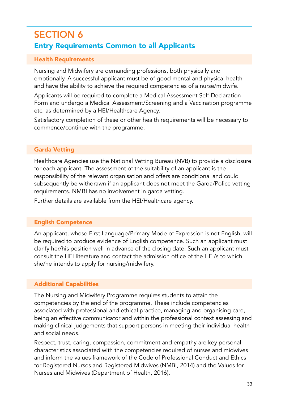# SECTION 6 Entry Requirements Common to all Applicants

## Health Requirements

Nursing and Midwifery are demanding professions, both physically and emotionally. A successful applicant must be of good mental and physical health and have the ability to achieve the required competencies of a nurse/midwife.

Applicants will be required to complete a Medical Assessment Self-Declaration Form and undergo a Medical Assessment/Screening and a Vaccination programme etc. as determined by a HEI/Healthcare Agency.

Satisfactory completion of these or other health requirements will be necessary to commence/continue with the programme.

# Garda Vetting

Healthcare Agencies use the National Vetting Bureau (NVB) to provide a disclosure for each applicant. The assessment of the suitability of an applicant is the responsibility of the relevant organisation and offers are conditional and could subsequently be withdrawn if an applicant does not meet the Garda/Police vetting requirements. NMBI has no involvement in garda vetting.

Further details are available from the HEI/Healthcare agency.

# English Competence

An applicant, whose First Language/Primary Mode of Expression is not English, will be required to produce evidence of English competence. Such an applicant must clarify her/his position well in advance of the closing date. Such an applicant must consult the HEI literature and contact the admission office of the HEI/s to which she/he intends to apply for nursing/midwifery.

# Additional Capabilities

The Nursing and Midwifery Programme requires students to attain the competencies by the end of the programme. These include competencies associated with professional and ethical practice, managing and organising care, being an effective communicator and within the professional context assessing and making clinical judgements that support persons in meeting their individual health and social needs.

Respect, trust, caring, compassion, commitment and empathy are key personal characteristics associated with the competencies required of nurses and midwives and inform the values framework of the Code of Professional Conduct and Ethics for Registered Nurses and Registered Midwives (NMBI, 2014) and the Values for Nurses and Midwives (Department of Health, 2016).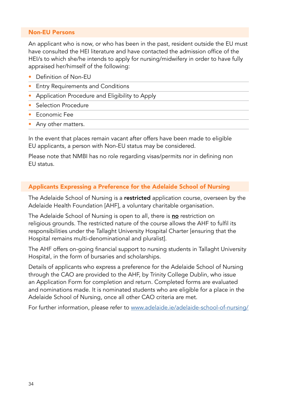#### Non-EU Persons

An applicant who is now, or who has been in the past, resident outside the EU must have consulted the HEI literature and have contacted the admission office of the HEI/s to which she/he intends to apply for nursing/midwifery in order to have fully appraised her/himself of the following:

- Definition of Non-EU
- Entry Requirements and Conditions
- Application Procedure and Eligibility to Apply
- Selection Procedure
- Economic Fee
- Any other matters.

In the event that places remain vacant after offers have been made to eligible EU applicants, a person with Non-EU status may be considered.

Please note that NMBI has no role regarding visas/permits nor in defining non EU status.

#### Applicants Expressing a Preference for the Adelaide School of Nursing

The Adelaide School of Nursing is a restricted application course, overseen by the Adelaide Health Foundation [AHF], a voluntary charitable organisation.

The Adelaide School of Nursing is open to all, there is no restriction on religious grounds. The restricted nature of the course allows the AHF to fulfil its responsibilities under the Tallaght University Hospital Charter [ensuring that the Hospital remains multi-denominational and pluralist].

The AHF offers on-going financial support to nursing students in Tallaght University Hospital, in the form of bursaries and scholarships.

Details of applicants who express a preference for the Adelaide School of Nursing through the CAO are provided to the AHF, by Trinity College Dublin, who issue an Application Form for completion and return. Completed forms are evaluated and nominations made. It is nominated students who are eligible for a place in the Adelaide School of Nursing, once all other CAO criteria are met.

For further information, please refer to [www.adelaide.ie/adelaide-school-of-nursing/](http://www.adelaide.ie/adelaide-school-of-nursing/)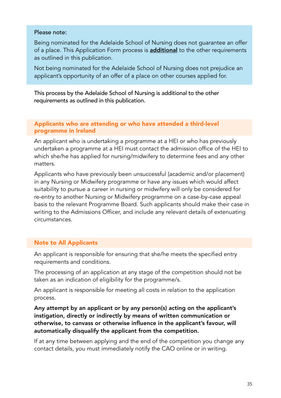#### Please note:

Being nominated for the Adelaide School of Nursing does not guarantee an offer of a place. This Application Form process is **additional** to the other requirements as outlined in this publication.

Not being nominated for the Adelaide School of Nursing does not prejudice an applicant's opportunity of an offer of a place on other courses applied for.

This process by the Adelaide School of Nursing is additional to the other requirements as outlined in this publication.

#### Applicants who are attending or who have attended a third-level programme in Ireland

An applicant who is undertaking a programme at a HEI or who has previously undertaken a programme at a HEI must contact the admission office of the HEI to which she/he has applied for nursing/midwifery to determine fees and any other matters.

Applicants who have previously been unsuccessful (academic and/or placement) in any Nursing or Midwifery programme or have any issues which would affect suitability to pursue a career in nursing or midwifery will only be considered for re-entry to another Nursing or Midwifery programme on a case-by-case appeal basis to the relevant Programme Board. Such applicants should make their case in writing to the Admissions Officer, and include any relevant details of extenuating circumstances.

#### Note to All Applicants

An applicant is responsible for ensuring that she/he meets the specified entry requirements and conditions.

The processing of an application at any stage of the competition should not be taken as an indication of eligibility for the programme/s.

An applicant is responsible for meeting all costs in relation to the application process.

Any attempt by an applicant or by any person(s) acting on the applicant's instigation, directly or indirectly by means of written communication or otherwise, to canvass or otherwise influence in the applicant's favour, will automatically disqualify the applicant from the competition.

If at any time between applying and the end of the competition you change any contact details, you must immediately notify the CAO online or in writing.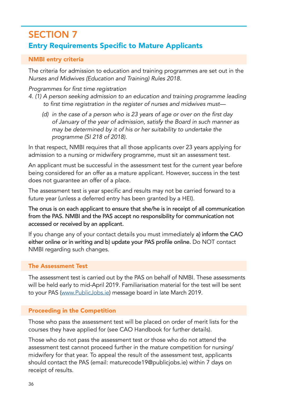# SECTION 7 Entry Requirements Specific to Mature Applicants

#### NMBI entry criteria

The criteria for admission to education and training programmes are set out in the *Nurses and Midwives (Education and Training) Rules 2018*.

#### Programmes for first time registration

- 4. (1) A person seeking admission to an education and training programme leading to first time registration in the register of nurses and midwives must—
	- (d) in the case of a person who is 23 years of age or over on the first day of January of the year of admission, satisfy the Board in such manner as may be determined by it of his or her suitability to undertake the  *programme (SI 218 of 2018).*

In that respect, NMBI requires that all those applicants over 23 years applying for admission to a nursing or midwifery programme, must sit an assessment test.

An applicant must be successful in the assessment test for the current year before being considered for an offer as a mature applicant. However, success in the test does not guarantee an offer of a place.

The assessment test is year specific and results may not be carried forward to a future year (unless a deferred entry has been granted by a HEI).

The onus is on each applicant to ensure that she/he is in receipt of all communication from the PAS. NMBI and the PAS accept no responsibility for communication not accessed or received by an applicant.

If you change any of your contact details you must immediately a) inform the CAO either online or in writing and b) update your PAS profile online. Do NOT contact NMBI regarding such changes.

#### The Assessment Test

The assessment test is carried out by the PAS on behalf of NMBI. These assessments will be held early to mid-April 2019. Familiarisation material for the test will be sent to your PAS ([www.PublicJobs.ie](http://www.PublicJobs.ie)) message board in late March 2019.

## Proceeding in the Competition

Those who pass the assessment test will be placed on order of merit lists for the courses they have applied for (see CAO Handbook for further details).

Those who do not pass the assessment test or those who do not attend the assessment test cannot proceed further in the mature competition for nursing/ midwifery for that year. To appeal the result of the assessment test, applicants should contact the PAS (email: maturecode19@publicjobs.ie) within 7 days on receipt of results.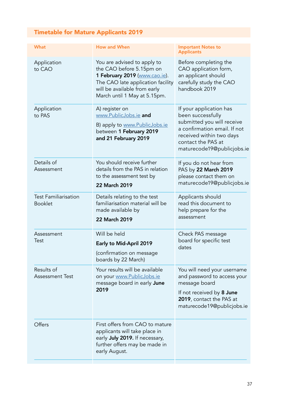# Timetable for Mature Applicants 2019

| <b>How and When</b><br>You are advised to apply to<br>the CAO before 5.15pm on<br>1 February 2019 (www.cao.ie).<br>The CAO late application facility | <b>Important Notes to</b><br><b>Applicants</b><br>Before completing the<br>CAO application form,<br>an applicant should                                                                    |
|------------------------------------------------------------------------------------------------------------------------------------------------------|--------------------------------------------------------------------------------------------------------------------------------------------------------------------------------------------|
|                                                                                                                                                      |                                                                                                                                                                                            |
| March until 1 May at 5.15pm.                                                                                                                         | carefully study the CAO<br>handbook 2019                                                                                                                                                   |
| A) register on<br>www.PublicJobs.ie and<br>B) apply to www.PublicJobs.ie<br>between 1 February 2019<br>and 21 February 2019                          | If your application has<br>been successfully<br>submitted you will receive<br>a confirmation email. If not<br>received within two days<br>contact the PAS at<br>maturecode19@publicjobs.ie |
| You should receive further<br>details from the PAS in relation<br>to the assessment test by<br>22 March 2019                                         | If you do not hear from<br>PAS by 22 March 2019<br>please contact them on<br>maturecode19@publicjobs.ie                                                                                    |
| Details relating to the test<br>familiarisation material will be<br>made available by<br>22 March 2019                                               | Applicants should<br>read this document to<br>help prepare for the<br>assessment                                                                                                           |
| Will be held<br>Early to Mid-April 2019<br>(confirmation on message<br>boards by 22 March)                                                           | Check PAS message<br>board for specific test<br>dates                                                                                                                                      |
| Your results will be available<br>on your www.PublicJobs.ie<br>message board in early <b>June</b><br>2019                                            | You will need your username<br>and password to access your<br>message board<br>If not received by 8 June<br>2019, contact the PAS at<br>maturecode19@publicjobs.ie                         |
| First offers from CAO to mature<br>applicants will take place in<br>early July 2019. If necessary,<br>further offers may be made in<br>early August. |                                                                                                                                                                                            |
|                                                                                                                                                      | will be available from early                                                                                                                                                               |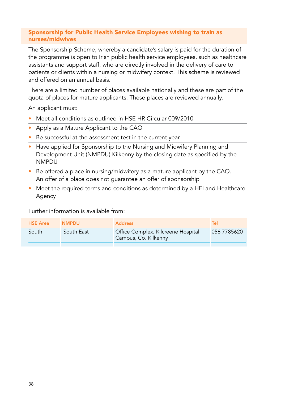#### Sponsorship for Public Health Service Employees wishing to train as nurses/midwives

The Sponsorship Scheme, whereby a candidate's salary is paid for the duration of the programme is open to Irish public health service employees, such as healthcare assistants and support staff, who are directly involved in the delivery of care to patients or clients within a nursing or midwifery context. This scheme is reviewed and offered on an annual basis.

There are a limited number of places available nationally and these are part of the quota of places for mature applicants. These places are reviewed annually.

An applicant must:

- Meet all conditions as outlined in HSE HR Circular 009/2010
- Apply as a Mature Applicant to the CAO
- Be successful at the assessment test in the current year
- Have applied for Sponsorship to the Nursing and Midwifery Planning and Development Unit (NMPDU) Kilkenny by the closing date as specified by the NMPDU
- Be offered a place in nursing/midwifery as a mature applicant by the CAO. An offer of a place does not guarantee an offer of sponsorship
- Meet the required terms and conditions as determined by a HEI and Healthcare Agency

Further information is available from:

| <b>HSE Area</b> | <b>NMPDU</b> | <b>Address</b>                                             | Tel         |
|-----------------|--------------|------------------------------------------------------------|-------------|
| South           | South East   | Office Complex, Kilcreene Hospital<br>Campus, Co. Kilkenny | 056 7785620 |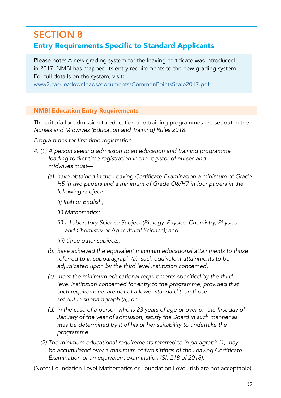# SECTION 8

# Entry Requirements Specific to Standard Applicants

Please note: A new grading system for the leaving certificate was introduced in 2017. NMBI has mapped its entry requirements to the new grading system. For full details on the system, visit:

[www2.cao.ie/downloads/documents/CommonPointsScale2017.pdf](http://www2.cao.ie/downloads/documents/CommonPointsScale2017.pdf)

#### NMBI Education Entry Requirements

The criteria for admission to education and training programmes are set out in the *Nurses and Midwives (Education and Training) Rules 2018.* 

Programmes for first time registration

- 4. (1) A person seeking admission to an education and training programme leading to first time registration in the register of nurses and midwives must—
	- (a) have obtained in the Leaving Certificate Examination a minimum of Grade H5 in two papers and a minimum of Grade O6/H7 in four papers in the following subjects:
		- *(i) Irish or English;*
		- *(ii) Mathematics;*
		- (ii) a Laboratory Science Subject (Biology, Physics, Chemistry, Physics  *and Chemistry or Agricultural Science); and*
		- (iii) three other subjects,
	- (b) have achieved the equivalent minimum educational attainments to those referred to in subparagraph (a), such equivalent attainments to be adjudicated upon by the third level institution concerned,
	- (c) meet the minimum educational requirements specified by the third level institution concerned for entry to the programme, provided that  *such requirements are not of a lower standard than those*  set out in subparagraph (a), or
	- (d) in the case of a person who is 23 years of age or over on the first day of January of the year of admission, satisfy the Board in such manner as may be determined by it of his or her suitability to undertake the  *programme.*
	- *(2) The minimum educational requirements referred to in paragraph (1) may*  be accumulated over a maximum of two sittings of the Leaving Certificate Examination or an equivalent examination (SI. 218 of 2018).

(Note: Foundation Level Mathematics or Foundation Level Irish are not acceptable).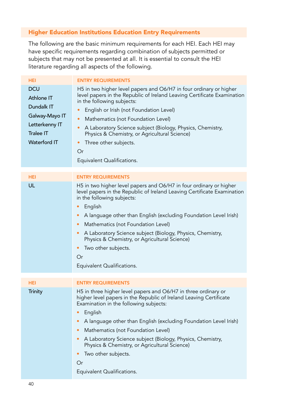## Higher Education Institutions Education Entry Requirements

The following are the basic minimum requirements for each HEI. Each HEI may have specific requirements regarding combination of subjects permitted or subjects that may not be presented at all. It is essential to consult the HEI literature regarding all aspects of the following.

| <b>HEI</b>                                                                                                            | <b>ENTRY REQUIREMENTS</b>                                                                                                                                                                                                                                                                                                                                                                                                                                                                           |
|-----------------------------------------------------------------------------------------------------------------------|-----------------------------------------------------------------------------------------------------------------------------------------------------------------------------------------------------------------------------------------------------------------------------------------------------------------------------------------------------------------------------------------------------------------------------------------------------------------------------------------------------|
| <b>DCU</b><br>Athlone IT<br>Dundalk IT<br>Galway-Mayo IT<br>Letterkenny IT<br><b>Tralee IT</b><br><b>Waterford IT</b> | H5 in two higher level papers and O6/H7 in four ordinary or higher<br>level papers in the Republic of Ireland Leaving Certificate Examination<br>in the following subjects:<br>English or Irish (not Foundation Level)<br>$\bullet$<br>Mathematics (not Foundation Level)<br>۰<br>A Laboratory Science subject (Biology, Physics, Chemistry,<br>۰<br>Physics & Chemistry, or Agricultural Science)<br>Three other subjects.<br>٠<br>Or<br>Equivalent Qualifications.                                |
| <b>HEI</b>                                                                                                            | <b>ENTRY REQUIREMENTS</b>                                                                                                                                                                                                                                                                                                                                                                                                                                                                           |
| UL                                                                                                                    | H5 in two higher level papers and O6/H7 in four ordinary or higher<br>level papers in the Republic of Ireland Leaving Certificate Examination<br>in the following subjects:<br>English<br>۰<br>A language other than English (excluding Foundation Level Irish)<br>٠<br>Mathematics (not Foundation Level)<br>٠<br>A Laboratory Science subject (Biology, Physics, Chemistry,<br>٠<br>Physics & Chemistry, or Agricultural Science)<br>Two other subjects.<br>٠<br>Or<br>Equivalent Qualifications. |
| <b>HEI</b>                                                                                                            | <b>ENTRY REQUIREMENTS</b>                                                                                                                                                                                                                                                                                                                                                                                                                                                                           |
| <b>Trinity</b>                                                                                                        | H5 in three higher level papers and O6/H7 in three ordinary or<br>higher level papers in the Republic of Ireland Leaving Certificate<br>Examination in the following subjects:<br>English<br>٠<br>A language other than English (excluding Foundation Level Irish)<br>٠<br>Mathematics (not Foundation Level)<br>٠<br>A Laboratory Science subject (Biology, Physics, Chemistry,<br>٠<br>Physics & Chemistry, or Agricultural Science)<br>Two other subjects.<br>٠<br>Or                            |
|                                                                                                                       | Equivalent Qualifications.                                                                                                                                                                                                                                                                                                                                                                                                                                                                          |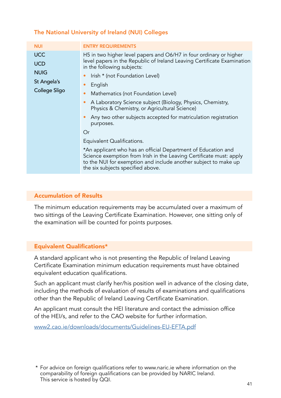| <b>NUI</b>                                                              | <b>ENTRY REQUIREMENTS</b>                                                                                                                                                                                                                                                                                                                                                                                                                                                                                                                                                                                                                                                                                                                        |
|-------------------------------------------------------------------------|--------------------------------------------------------------------------------------------------------------------------------------------------------------------------------------------------------------------------------------------------------------------------------------------------------------------------------------------------------------------------------------------------------------------------------------------------------------------------------------------------------------------------------------------------------------------------------------------------------------------------------------------------------------------------------------------------------------------------------------------------|
| <b>UCC</b><br><b>UCD</b><br><b>NUIG</b><br>St Angela's<br>College Sligo | H5 in two higher level papers and O6/H7 in four ordinary or higher<br>level papers in the Republic of Ireland Leaving Certificate Examination<br>in the following subjects:<br>Irish * (not Foundation Level)<br>English<br>Mathematics (not Foundation Level)<br>A Laboratory Science subject (Biology, Physics, Chemistry,<br>Physics & Chemistry, or Agricultural Science)<br>Any two other subjects accepted for matriculation registration<br>purposes.<br>Or<br>Equivalent Qualifications.<br>*An applicant who has an official Department of Education and<br>Science exemption from Irish in the Leaving Certificate must: apply<br>to the NUI for exemption and include another subject to make up<br>the six subjects specified above. |

## The National University of Ireland (NUI) Colleges

#### Accumulation of Results

The minimum education requirements may be accumulated over a maximum of two sittings of the Leaving Certificate Examination. However, one sitting only of the examination will be counted for points purposes.

## Equivalent Qualifications\*

A standard applicant who is not presenting the Republic of Ireland Leaving Certificate Examination minimum education requirements must have obtained equivalent education qualifications.

Such an applicant must clarify her/his position well in advance of the closing date, including the methods of evaluation of results of examinations and qualifications other than the Republic of Ireland Leaving Certificate Examination.

An applicant must consult the HEI literature and contact the admission office of the HEI/s, and refer to the CAO website for further information.

[www2.cao.ie/downloads/documents/Guidelines-EU-EFTA.pdf](http://www2.cao.ie/downloads/documents/Guidelines-EU-EFTA.pdf)

\* For advice on foreign qualifications refer to www.naric.ie where information on the comparability of foreign qualifications can be provided by NARIC Ireland. This service is hosted by QQI.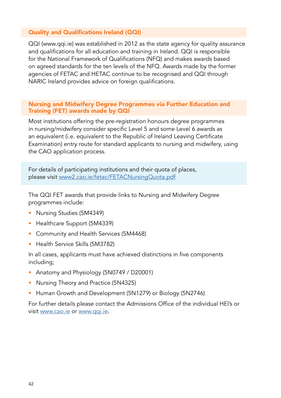#### Quality and Qualifications Ireland (QQI)

QQI (www.qqi.ie) was established in 2012 as the state agency for quality assurance and qualifications for all education and training in Ireland. QQI is responsible for the National Framework of Qualifications (NFQ) and makes awards based on agreed standards for the ten levels of the NFQ. Awards made by the former agencies of FETAC and HETAC continue to be recognised and QQI through NARIC Ireland provides advice on foreign qualifications.

#### Nursing and Midwifery Degree Programmes via Further Education and Training (FET) awards made by QQI

Most institutions offering the pre-registration honours degree programmes in nursing/midwifery consider specific Level 5 and some Level 6 awards as an equivalent (i.e. equivalent to the Republic of Ireland Leaving Certificate Examination) entry route for standard applicants to nursing and midwifery, using the CAO application process.

For details of participating institutions and their quota of places, please visit [www2.cao.ie/fetac/FETACNursingQuota.pdf](http://www2.cao.ie/fetac/FETACNursingQuota.pdf)

The QQI FET awards that provide links to Nursing and Midwifery Degree programmes include:

- Nursing Studies (5M4349)
- Healthcare Support (5M4339)
- Community and Health Services (5M4468)
- Health Service Skills (5M3782)

In all cases, applicants must have achieved distinctions in five components including;

- Anatomy and Physiology (5N0749 / D20001)
- Nursing Theory and Practice (5N4325)
- Human Growth and Development (5N1279) or Biology (5N2746)

For further details please contact the Admissions Office of the individual HEI's or visit [www.cao.ie](http://www.cao.ie) or [www.qqi.ie](http://www.qqi.ie).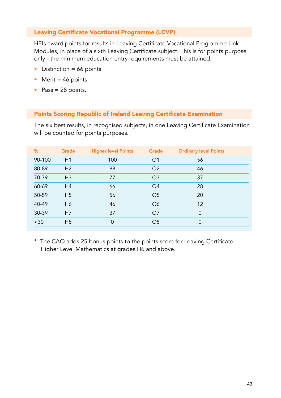#### Leaving Certificate Vocational Programme (LCVP)

HEIs award points for results in Leaving Certificate Vocational Programme Link Modules, in place of a sixth Leaving Certificate subject. This is for points purpose only - the minimum education entry requirements must be attained.

- $\bullet$  Distinction = 66 points
- Merit =  $46$  points
- Pass = 28 points.

#### Points Scoring Republic of Ireland Leaving Certificate Examination

The six best results, in recognised subjects, in one Leaving Certificate Examination will be counted for points purposes.

|           |                                                                                                                            | Grade    | <b>Ordinary level Points</b> |
|-----------|----------------------------------------------------------------------------------------------------------------------------|----------|------------------------------|
| H1<br>100 | O <sub>1</sub>                                                                                                             | 56       |                              |
| 88        | O <sub>2</sub>                                                                                                             | 46       |                              |
| 77        | O <sub>3</sub>                                                                                                             | 37       |                              |
| 66        | O <sub>4</sub>                                                                                                             | 28       |                              |
| 56        | O <sub>5</sub>                                                                                                             | 20       |                              |
| 46        | O <sub>6</sub>                                                                                                             | 12       |                              |
| 37        | O <sub>7</sub>                                                                                                             | $\Omega$ |                              |
| $\Omega$  | O <sub>8</sub>                                                                                                             | $\Omega$ |                              |
|           | H <sub>2</sub><br>H <sub>3</sub><br>H <sub>4</sub><br>H <sub>5</sub><br>H <sub>6</sub><br>H <sub>7</sub><br>H <sub>8</sub> |          |                              |

\* The CAO adds 25 bonus points to the points score for Leaving Certificate Higher Level Mathematics at grades H6 and above.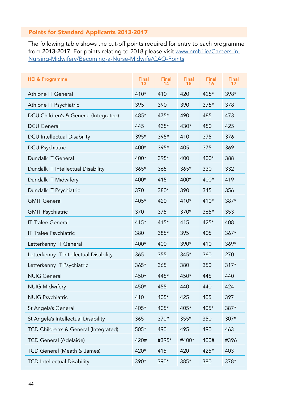## Points for Standard Applicants 2013-2017

The following table shows the cut-off points required for entry to each programme from 2013-2017. For points relating to 2018 please visit [www.nmbi.ie/Careers-in-](http://www.nmbi.ie/Careers-in-Nursing-Midwifery/Becoming-a-Nurse-Midwife/CAO-Points)[Nursing-Midwifery/Becoming-a-Nurse-Midwife/CAO-Points](http://www.nmbi.ie/Careers-in-Nursing-Midwifery/Becoming-a-Nurse-Midwife/CAO-Points)

| <b>HEI &amp; Programme</b>             | Final<br>13 | Final<br>14 | Final<br>15 | Final<br>16 | <b>Final</b><br>17 |
|----------------------------------------|-------------|-------------|-------------|-------------|--------------------|
| Athlone IT General                     | 410*        | 410         | 420         | 425*        | 398*               |
| Athlone IT Psychiatric                 | 395         | 390         | 390         | $375*$      | 378                |
| DCU Children's & General (Integrated)  | 485*        | 475*        | 490         | 485         | 473                |
| <b>DCU</b> General                     | 445         | 435*        | 430*        | 450         | 425                |
| <b>DCU</b> Intellectual Disability     | 395*        | 395*        | 410         | 375         | 376                |
| DCU Psychiatric                        | 400*        | 395*        | 405         | 375         | 369                |
| Dundalk IT General                     | 400*        | 395*        | 400         | $400*$      | 388                |
| Dundalk IT Intellectual Disability     | $365*$      | 365         | $365*$      | 330         | 332                |
| Dundalk IT Midwifery                   | 400*        | 415         | 400*        | 400*        | 419                |
| Dundalk IT Psychiatric                 | 370         | 380*        | 390         | 345         | 356                |
| <b>GMIT General</b>                    | 405*        | 420         | $410*$      | $410*$      | $387*$             |
| <b>GMIT Psychiatric</b>                | 370         | 375         | 370*        | $365*$      | 353                |
| <b>IT Tralee General</b>               | 415*        | 415*        | 415         | 425*        | 408                |
| IT Tralee Psychiatric                  | 380         | 385*        | 395         | 405         | $367*$             |
| Letterkenny IT General                 | 400*        | 400         | 390*        | 410         | $369*$             |
| Letterkenny IT Intellectual Disability | 365         | 355         | 345*        | 360         | 270                |
| Letterkenny IT Psychiatric             | 365*        | 365         | 380         | 350         | $317*$             |
| <b>NUIG General</b>                    | 450*        | 445*        | 450*        | 445         | 440                |
| <b>NUIG Midwifery</b>                  | 450*        | 455         | 440         | 440         | 424                |
| <b>NUIG Psychiatric</b>                | 410         | 405*        | 425         | 405         | 397                |
| St Angela's General                    | 405*        | 405*        | 405*        | 405*        | 387*               |
| St Angela's Intellectual Disability    | 365         | $370*$      | 355*        | 350         | 307*               |
| TCD Children's & General (Integrated)  | 505*        | 490         | 495         | 490         | 463                |
| <b>TCD General (Adelaide)</b>          | 420#        | #395*       | #400*       | 400#        | #396               |
| TCD General (Meath & James)            | 420*        | 415         | 420         | $425*$      | 403                |
| <b>TCD Intellectual Disability</b>     | 390*        | 390*        | 385*        | 380         | 378*               |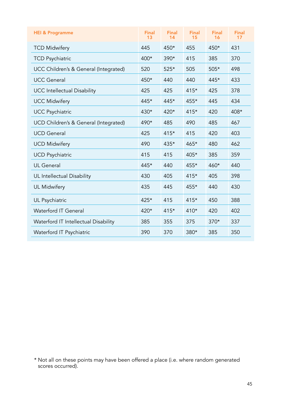| <b>HEI &amp; Programme</b>            | <b>Final</b><br>13 | <b>Final</b><br>14 | <b>Final</b><br>15 | <b>Final</b><br>16 | <b>Final</b><br>17 |
|---------------------------------------|--------------------|--------------------|--------------------|--------------------|--------------------|
| <b>TCD Midwifery</b>                  | 445                | 450*               | 455                | 450*               | 431                |
| <b>TCD Psychiatric</b>                | $400*$             | $390*$             | 415                | 385                | 370                |
| UCC Children's & General (Integrated) | 520                | 525*               | 505                | $505*$             | 498                |
| <b>UCC General</b>                    | $450*$             | 440                | 440                | 445*               | 433                |
| <b>UCC</b> Intellectual Disability    | 425                | 425                | $415*$             | 425                | 378                |
| <b>UCC Midwifery</b>                  | $445*$             | $445*$             | 455*               | 445                | 434                |
| <b>UCC Psychiatric</b>                | 430*               | 420*               | $415*$             | 420                | 408*               |
| UCD Children's & General (Integrated) | 490*               | 485                | 490                | 485                | 467                |
| <b>UCD</b> General                    | 425                | $415*$             | 415                | 420                | 403                |
| <b>UCD Midwifery</b>                  | 490                | 435*               | 465*               | 480                | 462                |
| <b>UCD Psychiatric</b>                | 415                | 415                | $405*$             | 385                | 359                |
| <b>UL</b> General                     | 445*               | 440                | 455*               | 460*               | 440                |
| UL Intellectual Disability            | 430                | 405                | $415*$             | 405                | 398                |
| <b>UL Midwifery</b>                   | 435                | 445                | 455*               | 440                | 430                |
| UL Psychiatric                        | 425*               | 415                | $415*$             | 450                | 388                |
| <b>Waterford IT General</b>           | 420*               | $415*$             | $410*$             | 420                | 402                |
| Waterford IT Intellectual Disability  | 385                | 355                | 375                | $370*$             | 337                |
| Waterford IT Psychiatric              | 390                | 370                | $380*$             | 385                | 350                |

<sup>\*</sup> Not all on these points may have been offered a place (i.e. where random generated scores occurred).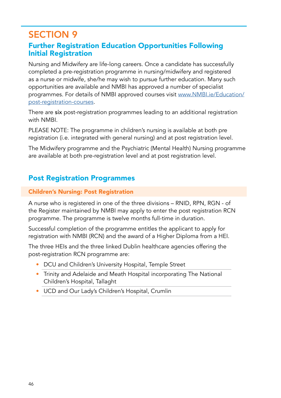# SECTION 9

# Further Registration Education Opportunities Following Initial Registration

Nursing and Midwifery are life-long careers. Once a candidate has successfully completed a pre-registration programme in nursing/midwifery and registered as a nurse or midwife, she/he may wish to pursue further education. Many such opportunities are available and NMBI has approved a number of specialist programmes. For details of NMBI approved courses visit [www.NMBI.ie/Education/](http://www.NMBI.ie/Education/post-registration-courses) [post-registration-courses.](http://www.NMBI.ie/Education/post-registration-courses)

There are six post-registration programmes leading to an additional registration with NMBI.

PLEASE NOTE: The programme in children's nursing is available at both pre registration (i.e. integrated with general nursing) and at post registration level.

The Midwifery programme and the Psychiatric (Mental Health) Nursing programme are available at both pre-registration level and at post registration level.

# Post Registration Programmes

## Children's Nursing: Post Registration

A nurse who is registered in one of the three divisions – RNID, RPN, RGN - of the Register maintained by NMBI may apply to enter the post registration RCN programme. The programme is twelve months full-time in duration.

Successful completion of the programme entitles the applicant to apply for registration with NMBI (RCN) and the award of a Higher Diploma from a HEI.

The three HEIs and the three linked Dublin healthcare agencies offering the post-registration RCN programme are:

- DCU and Children's University Hospital, Temple Street
- Trinity and Adelaide and Meath Hospital incorporating The National Children's Hospital, Tallaght
- UCD and Our Lady's Children's Hospital, Crumlin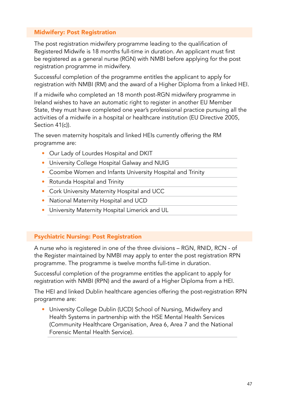## Midwifery: Post Registration

The post registration midwifery programme leading to the qualification of Registered Midwife is 18 months full-time in duration. An applicant must first be registered as a general nurse (RGN) with NMBI before applying for the post registration programme in midwifery.

Successful completion of the programme entitles the applicant to apply for registration with NMBI (RM) and the award of a Higher Diploma from a linked HEI.

If a midwife who completed an 18 month post-RGN midwifery programme in Ireland wishes to have an automatic right to register in another EU Member State, they must have completed one year's professional practice pursuing all the activities of a midwife in a hospital or healthcare institution (EU Directive 2005, Section 41(c)).

The seven maternity hospitals and linked HEIs currently offering the RM programme are:

- Our Lady of Lourdes Hospital and DKIT
- University College Hospital Galway and NUIG
- Coombe Women and Infants University Hospital and Trinity
- Rotunda Hospital and Trinity
- Cork University Maternity Hospital and UCC
- National Maternity Hospital and UCD
- University Maternity Hospital Limerick and UL

## Psychiatric Nursing: Post Registration

A nurse who is registered in one of the three divisions – RGN, RNID, RCN - of the Register maintained by NMBI may apply to enter the post registration RPN programme. The programme is twelve months full-time in duration.

Successful completion of the programme entitles the applicant to apply for registration with NMBI (RPN) and the award of a Higher Diploma from a HEI.

The HEI and linked Dublin healthcare agencies offering the post-registration RPN programme are:

• University College Dublin (UCD) School of Nursing, Midwifery and Health Systems in partnership with the HSE Mental Health Services (Community Healthcare Organisation, Area 6, Area 7 and the National Forensic Mental Health Service).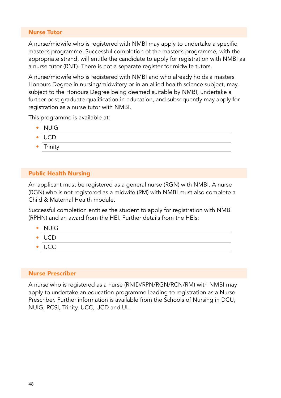#### Nurse Tutor

A nurse/midwife who is registered with NMBI may apply to undertake a specific master's programme. Successful completion of the master's programme, with the appropriate strand, will entitle the candidate to apply for registration with NMBI as a nurse tutor (RNT). There is not a separate register for midwife tutors.

A nurse/midwife who is registered with NMBI and who already holds a masters Honours Degree in nursing/midwifery or in an allied health science subject, may, subject to the Honours Degree being deemed suitable by NMBI, undertake a further post-graduate qualification in education, and subsequently may apply for registration as a nurse tutor with NMBI.

This programme is available at:

- NUIG
- UCD
- Trinity

## Public Health Nursing

An applicant must be registered as a general nurse (RGN) with NMBI. A nurse (RGN) who is not registered as a midwife (RM) with NMBI must also complete a Child & Maternal Health module.

Successful completion entitles the student to apply for registration with NMBI (RPHN) and an award from the HEI. Further details from the HEIs:

- NUIG
- UCD
- UCC

#### Nurse Prescriber

A nurse who is registered as a nurse (RNID/RPN/RGN/RCN/RM) with NMBI may apply to undertake an education programme leading to registration as a Nurse Prescriber. Further information is available from the Schools of Nursing in DCU, NUIG, RCSI, Trinity, UCC, UCD and UL.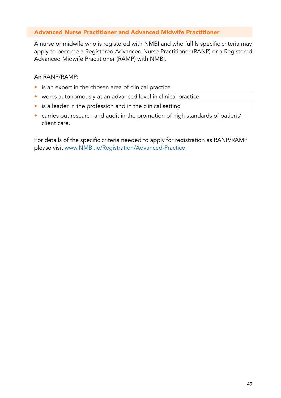## Advanced Nurse Practitioner and Advanced Midwife Practitioner

A nurse or midwife who is registered with NMBI and who fulfils specific criteria may apply to become a Registered Advanced Nurse Practitioner (RANP) or a Registered Advanced Midwife Practitioner (RAMP) with NMBI.

An RANP/RAMP:

- is an expert in the chosen area of clinical practice
- works autonomously at an advanced level in clinical practice
- is a leader in the profession and in the clinical setting
- carries out research and audit in the promotion of high standards of patient/ client care.

For details of the specific criteria needed to apply for registration as RANP/RAMP please visit [www.NMBI.ie/Registration/Advanced-Practice](http://www.NMBI.ie/Registration/Advanced-Practice)